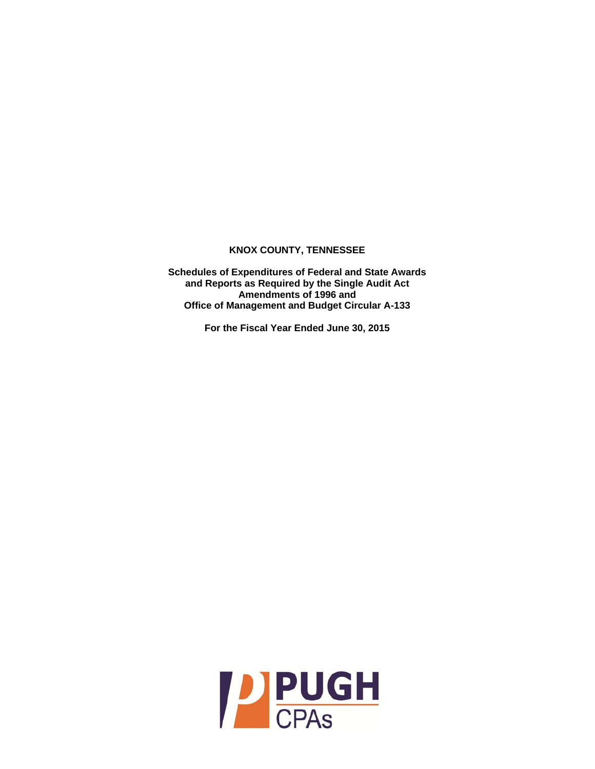**Schedules of Expenditures of Federal and State Awards and Reports as Required by the Single Audit Act Amendments of 1996 and Office of Management and Budget Circular A-133** 

**For the Fiscal Year Ended June 30, 2015** 

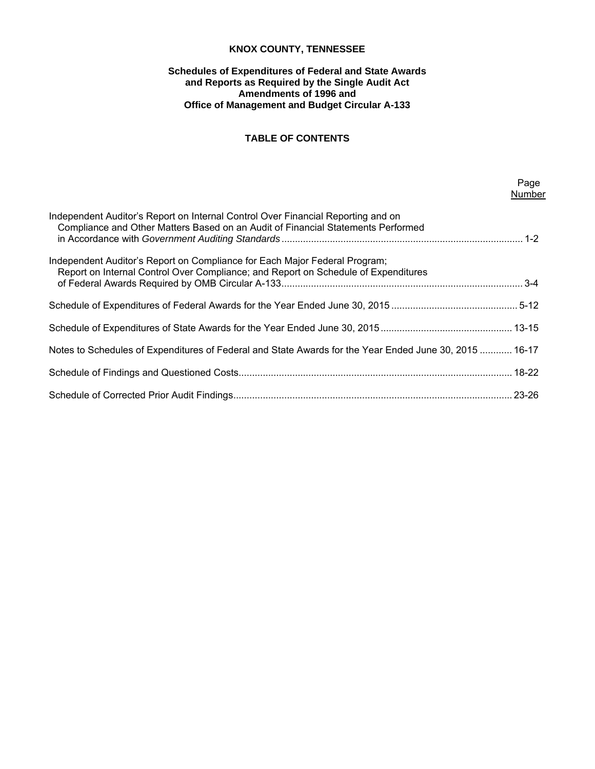### **Schedules of Expenditures of Federal and State Awards and Reports as Required by the Single Audit Act Amendments of 1996 and Office of Management and Budget Circular A-133**

# **TABLE OF CONTENTS**

Page

|                                                                                                                                                                      | Number |
|----------------------------------------------------------------------------------------------------------------------------------------------------------------------|--------|
| Independent Auditor's Report on Internal Control Over Financial Reporting and on<br>Compliance and Other Matters Based on an Audit of Financial Statements Performed |        |
| Independent Auditor's Report on Compliance for Each Major Federal Program;<br>Report on Internal Control Over Compliance; and Report on Schedule of Expenditures     |        |
|                                                                                                                                                                      |        |
|                                                                                                                                                                      |        |
| Notes to Schedules of Expenditures of Federal and State Awards for the Year Ended June 30, 2015  16-17                                                               |        |
|                                                                                                                                                                      |        |
|                                                                                                                                                                      |        |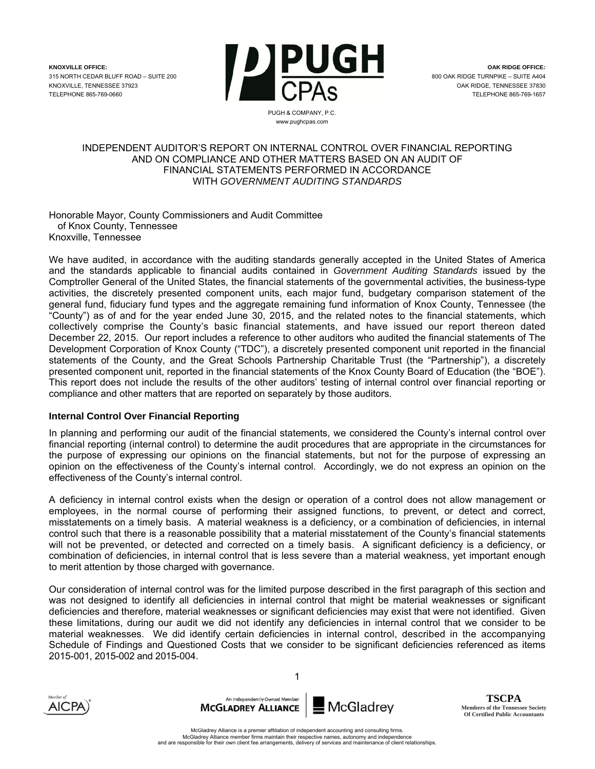

PUGH & COMPANY, P.C. www.pughcpas.com

### INDEPENDENT AUDITOR'S REPORT ON INTERNAL CONTROL OVER FINANCIAL REPORTING AND ON COMPLIANCE AND OTHER MATTERS BASED ON AN AUDIT OF FINANCIAL STATEMENTS PERFORMED IN ACCORDANCE WITH *GOVERNMENT AUDITING STANDARDS*

#### Honorable Mayor, County Commissioners and Audit Committee of Knox County, Tennessee Knoxville, Tennessee

We have audited, in accordance with the auditing standards generally accepted in the United States of America and the standards applicable to financial audits contained in *Government Auditing Standards* issued by the Comptroller General of the United States, the financial statements of the governmental activities, the business-type activities, the discretely presented component units, each major fund, budgetary comparison statement of the general fund, fiduciary fund types and the aggregate remaining fund information of Knox County, Tennessee (the "County") as of and for the year ended June 30, 2015, and the related notes to the financial statements, which collectively comprise the County's basic financial statements, and have issued our report thereon dated December 22, 2015. Our report includes a reference to other auditors who audited the financial statements of The Development Corporation of Knox County ("TDC"), a discretely presented component unit reported in the financial statements of the County, and the Great Schools Partnership Charitable Trust (the "Partnership"), a discretely presented component unit, reported in the financial statements of the Knox County Board of Education (the "BOE"). This report does not include the results of the other auditors' testing of internal control over financial reporting or compliance and other matters that are reported on separately by those auditors.

# **Internal Control Over Financial Reporting**

In planning and performing our audit of the financial statements, we considered the County's internal control over financial reporting (internal control) to determine the audit procedures that are appropriate in the circumstances for the purpose of expressing our opinions on the financial statements, but not for the purpose of expressing an opinion on the effectiveness of the County's internal control. Accordingly, we do not express an opinion on the effectiveness of the County's internal control.

A deficiency in internal control exists when the design or operation of a control does not allow management or employees, in the normal course of performing their assigned functions, to prevent, or detect and correct, misstatements on a timely basis. A material weakness is a deficiency, or a combination of deficiencies, in internal control such that there is a reasonable possibility that a material misstatement of the County's financial statements will not be prevented, or detected and corrected on a timely basis. A significant deficiency is a deficiency, or combination of deficiencies, in internal control that is less severe than a material weakness, yet important enough to merit attention by those charged with governance.

Our consideration of internal control was for the limited purpose described in the first paragraph of this section and was not designed to identify all deficiencies in internal control that might be material weaknesses or significant deficiencies and therefore, material weaknesses or significant deficiencies may exist that were not identified. Given these limitations, during our audit we did not identify any deficiencies in internal control that we consider to be material weaknesses. We did identify certain deficiencies in internal control, described in the accompanying Schedule of Findings and Questioned Costs that we consider to be significant deficiencies referenced as items 2015-001, 2015-002 and 2015-004.







**TSCPA Members of the Tennessee Society Of Certified Public Accountants**

1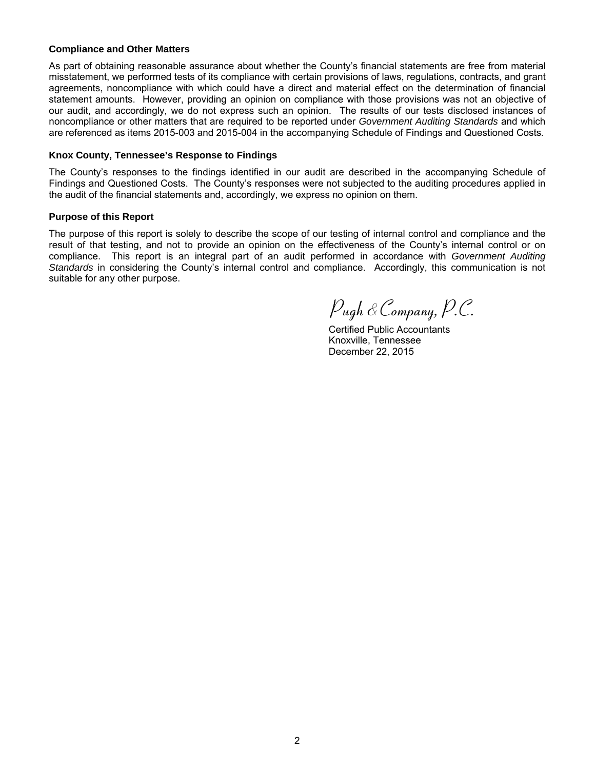#### **Compliance and Other Matters**

As part of obtaining reasonable assurance about whether the County's financial statements are free from material misstatement, we performed tests of its compliance with certain provisions of laws, regulations, contracts, and grant agreements, noncompliance with which could have a direct and material effect on the determination of financial statement amounts. However, providing an opinion on compliance with those provisions was not an objective of our audit, and accordingly, we do not express such an opinion. The results of our tests disclosed instances of noncompliance or other matters that are required to be reported under *Government Auditing Standards* and which are referenced as items 2015-003 and 2015-004 in the accompanying Schedule of Findings and Questioned Costs*.*

#### **Knox County, Tennessee's Response to Findings**

The County's responses to the findings identified in our audit are described in the accompanying Schedule of Findings and Questioned Costs. The County's responses were not subjected to the auditing procedures applied in the audit of the financial statements and, accordingly, we express no opinion on them.

#### **Purpose of this Report**

The purpose of this report is solely to describe the scope of our testing of internal control and compliance and the result of that testing, and not to provide an opinion on the effectiveness of the County's internal control or on compliance. This report is an integral part of an audit performed in accordance with *Government Auditing Standards* in considering the County's internal control and compliance. Accordingly, this communication is not suitable for any other purpose.

*Pugh* &*Company, P.C.*

 Certified Public Accountants Knoxville, Tennessee December 22, 2015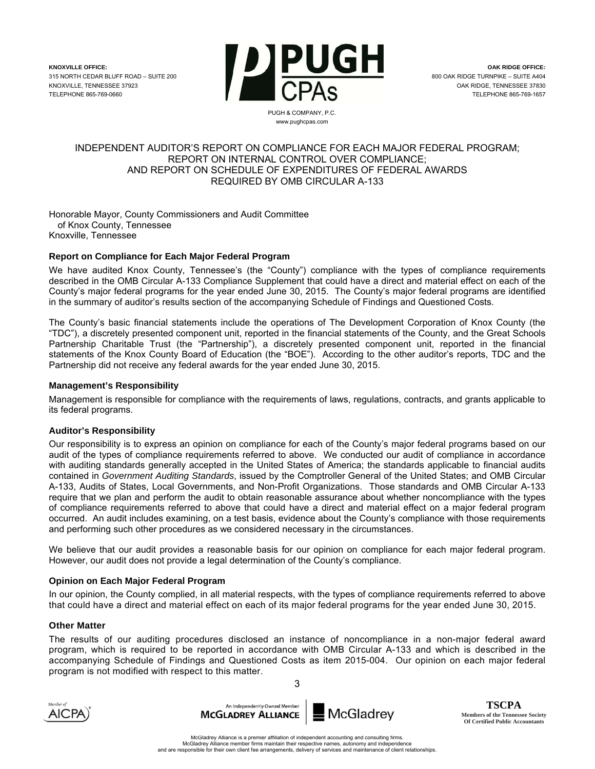

PUGH & COMPANY, P.C. www.pughcpas.com

### INDEPENDENT AUDITOR'S REPORT ON COMPLIANCE FOR EACH MAJOR FEDERAL PROGRAM; REPORT ON INTERNAL CONTROL OVER COMPLIANCE; AND REPORT ON SCHEDULE OF EXPENDITURES OF FEDERAL AWARDS REQUIRED BY OMB CIRCULAR A-133

#### Honorable Mayor, County Commissioners and Audit Committee of Knox County, Tennessee Knoxville, Tennessee

### **Report on Compliance for Each Major Federal Program**

We have audited Knox County, Tennessee's (the "County") compliance with the types of compliance requirements described in the OMB Circular A-133 Compliance Supplement that could have a direct and material effect on each of the County's major federal programs for the year ended June 30, 2015. The County's major federal programs are identified in the summary of auditor's results section of the accompanying Schedule of Findings and Questioned Costs.

The County's basic financial statements include the operations of The Development Corporation of Knox County (the "TDC"), a discretely presented component unit, reported in the financial statements of the County, and the Great Schools Partnership Charitable Trust (the "Partnership"), a discretely presented component unit, reported in the financial statements of the Knox County Board of Education (the "BOE"). According to the other auditor's reports, TDC and the Partnership did not receive any federal awards for the year ended June 30, 2015.

#### **Management's Responsibility**

Management is responsible for compliance with the requirements of laws, regulations, contracts, and grants applicable to its federal programs.

### **Auditor's Responsibility**

Our responsibility is to express an opinion on compliance for each of the County's major federal programs based on our audit of the types of compliance requirements referred to above. We conducted our audit of compliance in accordance with auditing standards generally accepted in the United States of America; the standards applicable to financial audits contained in *Government Auditing Standards*, issued by the Comptroller General of the United States; and OMB Circular A-133, Audits of States, Local Governments, and Non-Profit Organizations. Those standards and OMB Circular A-133 require that we plan and perform the audit to obtain reasonable assurance about whether noncompliance with the types of compliance requirements referred to above that could have a direct and material effect on a major federal program occurred. An audit includes examining, on a test basis, evidence about the County's compliance with those requirements and performing such other procedures as we considered necessary in the circumstances.

We believe that our audit provides a reasonable basis for our opinion on compliance for each major federal program. However, our audit does not provide a legal determination of the County's compliance.

### **Opinion on Each Major Federal Program**

In our opinion, the County complied, in all material respects, with the types of compliance requirements referred to above that could have a direct and material effect on each of its major federal programs for the year ended June 30, 2015.

### **Other Matter**

The results of our auditing procedures disclosed an instance of noncompliance in a non-major federal award program, which is required to be reported in accordance with OMB Circular A-133 and which is described in the accompanying Schedule of Findings and Questioned Costs as item 2015-004. Our opinion on each major federal program is not modified with respect to this matter.

3







**TSCPA Members of the Tennessee Society Of Certified Public Accountants**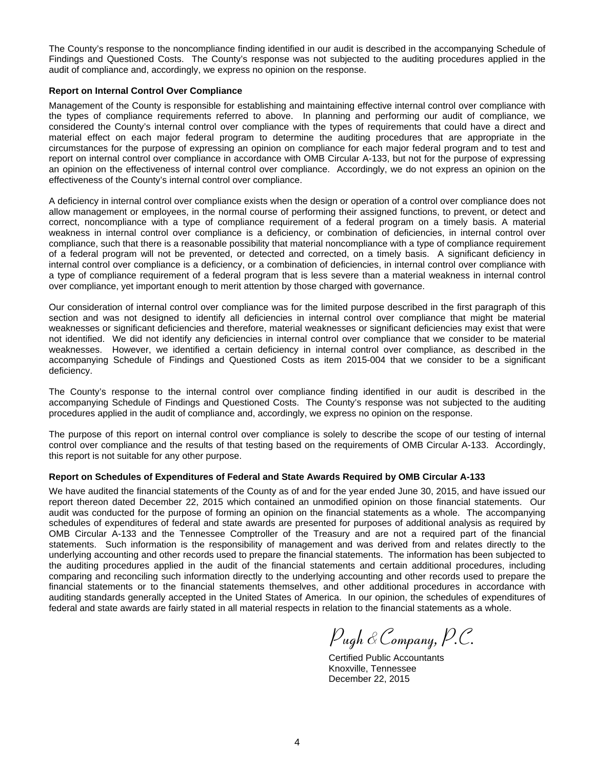The County's response to the noncompliance finding identified in our audit is described in the accompanying Schedule of Findings and Questioned Costs. The County's response was not subjected to the auditing procedures applied in the audit of compliance and, accordingly, we express no opinion on the response.

### **Report on Internal Control Over Compliance**

Management of the County is responsible for establishing and maintaining effective internal control over compliance with the types of compliance requirements referred to above. In planning and performing our audit of compliance, we considered the County's internal control over compliance with the types of requirements that could have a direct and material effect on each major federal program to determine the auditing procedures that are appropriate in the circumstances for the purpose of expressing an opinion on compliance for each major federal program and to test and report on internal control over compliance in accordance with OMB Circular A-133, but not for the purpose of expressing an opinion on the effectiveness of internal control over compliance. Accordingly, we do not express an opinion on the effectiveness of the County's internal control over compliance.

A deficiency in internal control over compliance exists when the design or operation of a control over compliance does not allow management or employees, in the normal course of performing their assigned functions, to prevent, or detect and correct, noncompliance with a type of compliance requirement of a federal program on a timely basis. A material weakness in internal control over compliance is a deficiency, or combination of deficiencies, in internal control over compliance, such that there is a reasonable possibility that material noncompliance with a type of compliance requirement of a federal program will not be prevented, or detected and corrected, on a timely basis. A significant deficiency in internal control over compliance is a deficiency, or a combination of deficiencies, in internal control over compliance with a type of compliance requirement of a federal program that is less severe than a material weakness in internal control over compliance, yet important enough to merit attention by those charged with governance.

Our consideration of internal control over compliance was for the limited purpose described in the first paragraph of this section and was not designed to identify all deficiencies in internal control over compliance that might be material weaknesses or significant deficiencies and therefore, material weaknesses or significant deficiencies may exist that were not identified. We did not identify any deficiencies in internal control over compliance that we consider to be material weaknesses. However, we identified a certain deficiency in internal control over compliance, as described in the accompanying Schedule of Findings and Questioned Costs as item 2015-004 that we consider to be a significant deficiency.

The County's response to the internal control over compliance finding identified in our audit is described in the accompanying Schedule of Findings and Questioned Costs. The County's response was not subjected to the auditing procedures applied in the audit of compliance and, accordingly, we express no opinion on the response.

The purpose of this report on internal control over compliance is solely to describe the scope of our testing of internal control over compliance and the results of that testing based on the requirements of OMB Circular A-133. Accordingly, this report is not suitable for any other purpose.

### **Report on Schedules of Expenditures of Federal and State Awards Required by OMB Circular A-133**

We have audited the financial statements of the County as of and for the year ended June 30, 2015, and have issued our report thereon dated December 22, 2015 which contained an unmodified opinion on those financial statements. Our audit was conducted for the purpose of forming an opinion on the financial statements as a whole. The accompanying schedules of expenditures of federal and state awards are presented for purposes of additional analysis as required by OMB Circular A-133 and the Tennessee Comptroller of the Treasury and are not a required part of the financial statements. Such information is the responsibility of management and was derived from and relates directly to the underlying accounting and other records used to prepare the financial statements. The information has been subjected to the auditing procedures applied in the audit of the financial statements and certain additional procedures, including comparing and reconciling such information directly to the underlying accounting and other records used to prepare the financial statements or to the financial statements themselves, and other additional procedures in accordance with auditing standards generally accepted in the United States of America. In our opinion, the schedules of expenditures of federal and state awards are fairly stated in all material respects in relation to the financial statements as a whole.

*Pugh* &*Company, P.C.*

Certified Public Accountants Knoxville, Tennessee December 22, 2015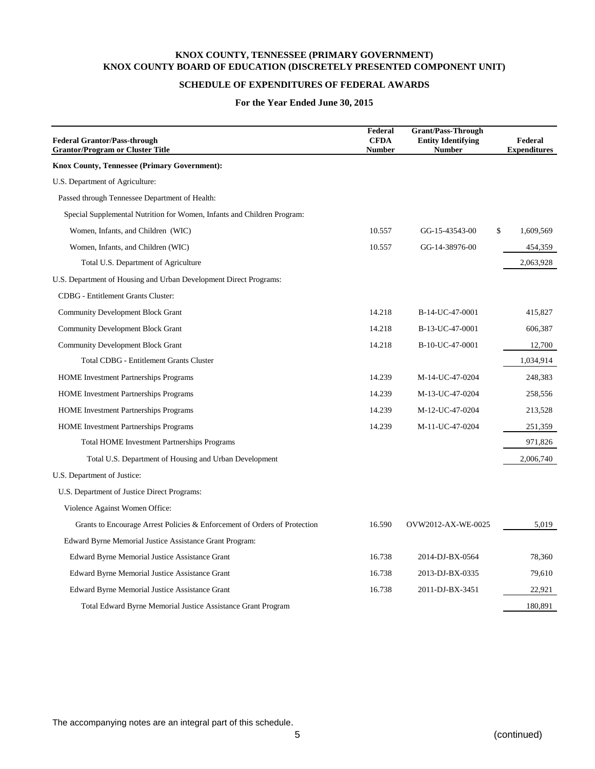#### **SCHEDULE OF EXPENDITURES OF FEDERAL AWARDS**

#### **For the Year Ended June 30, 2015**

| <b>Federal Grantor/Pass-through</b><br><b>Grantor/Program or Cluster Title</b> | Federal<br><b>CFDA</b><br><b>Number</b> | <b>Grant/Pass-Through</b><br><b>Entity Identifying</b><br><b>Number</b> | Federal<br><b>Expenditures</b> |
|--------------------------------------------------------------------------------|-----------------------------------------|-------------------------------------------------------------------------|--------------------------------|
| <b>Knox County, Tennessee (Primary Government):</b>                            |                                         |                                                                         |                                |
| U.S. Department of Agriculture:                                                |                                         |                                                                         |                                |
| Passed through Tennessee Department of Health:                                 |                                         |                                                                         |                                |
| Special Supplemental Nutrition for Women, Infants and Children Program:        |                                         |                                                                         |                                |
| Women, Infants, and Children (WIC)                                             | 10.557                                  | GG-15-43543-00                                                          | \$<br>1,609,569                |
| Women, Infants, and Children (WIC)                                             | 10.557                                  | GG-14-38976-00                                                          | 454,359                        |
| Total U.S. Department of Agriculture                                           |                                         |                                                                         | 2,063,928                      |
| U.S. Department of Housing and Urban Development Direct Programs:              |                                         |                                                                         |                                |
| CDBG - Entitlement Grants Cluster:                                             |                                         |                                                                         |                                |
| <b>Community Development Block Grant</b>                                       | 14.218                                  | B-14-UC-47-0001                                                         | 415,827                        |
| <b>Community Development Block Grant</b>                                       | 14.218                                  | B-13-UC-47-0001                                                         | 606,387                        |
| <b>Community Development Block Grant</b>                                       | 14.218                                  | B-10-UC-47-0001                                                         | 12,700                         |
| <b>Total CDBG - Entitlement Grants Cluster</b>                                 |                                         |                                                                         | 1,034,914                      |
| <b>HOME</b> Investment Partnerships Programs                                   | 14.239                                  | M-14-UC-47-0204                                                         | 248,383                        |
| <b>HOME</b> Investment Partnerships Programs                                   | 14.239                                  | M-13-UC-47-0204                                                         | 258,556                        |
| <b>HOME</b> Investment Partnerships Programs                                   | 14.239                                  | M-12-UC-47-0204                                                         | 213,528                        |
| <b>HOME</b> Investment Partnerships Programs                                   | 14.239                                  | M-11-UC-47-0204                                                         | 251,359                        |
| <b>Total HOME Investment Partnerships Programs</b>                             |                                         |                                                                         | 971,826                        |
| Total U.S. Department of Housing and Urban Development                         |                                         |                                                                         | 2,006,740                      |
| U.S. Department of Justice:                                                    |                                         |                                                                         |                                |
| U.S. Department of Justice Direct Programs:                                    |                                         |                                                                         |                                |
| Violence Against Women Office:                                                 |                                         |                                                                         |                                |
| Grants to Encourage Arrest Policies & Enforcement of Orders of Protection      | 16.590                                  | OVW2012-AX-WE-0025                                                      | 5,019                          |
| Edward Byrne Memorial Justice Assistance Grant Program:                        |                                         |                                                                         |                                |
| Edward Byrne Memorial Justice Assistance Grant                                 | 16.738                                  | 2014-DJ-BX-0564                                                         | 78,360                         |
| Edward Byrne Memorial Justice Assistance Grant                                 | 16.738                                  | 2013-DJ-BX-0335                                                         | 79,610                         |
| Edward Byrne Memorial Justice Assistance Grant                                 | 16.738                                  | 2011-DJ-BX-3451                                                         | 22,921                         |
| Total Edward Byrne Memorial Justice Assistance Grant Program                   |                                         |                                                                         | 180,891                        |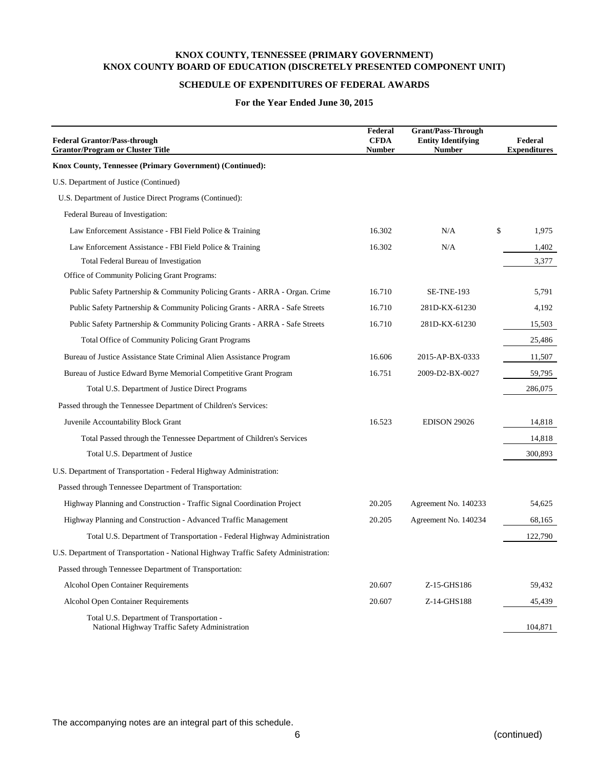#### **SCHEDULE OF EXPENDITURES OF FEDERAL AWARDS**

#### **For the Year Ended June 30, 2015**

| <b>Federal Grantor/Pass-through</b><br><b>Grantor/Program or Cluster Title</b>              | Federal<br><b>CFDA</b><br><b>Number</b> | <b>Grant/Pass-Through</b><br><b>Entity Identifying</b><br><b>Number</b> | Federal<br><b>Expenditures</b> |
|---------------------------------------------------------------------------------------------|-----------------------------------------|-------------------------------------------------------------------------|--------------------------------|
| Knox County, Tennessee (Primary Government) (Continued):                                    |                                         |                                                                         |                                |
| U.S. Department of Justice (Continued)                                                      |                                         |                                                                         |                                |
| U.S. Department of Justice Direct Programs (Continued):                                     |                                         |                                                                         |                                |
| Federal Bureau of Investigation:                                                            |                                         |                                                                         |                                |
| Law Enforcement Assistance - FBI Field Police & Training                                    | 16.302                                  | N/A                                                                     | \$<br>1,975                    |
| Law Enforcement Assistance - FBI Field Police & Training                                    | 16.302                                  | N/A                                                                     | 1,402                          |
| Total Federal Bureau of Investigation                                                       |                                         |                                                                         | 3,377                          |
| Office of Community Policing Grant Programs:                                                |                                         |                                                                         |                                |
| Public Safety Partnership & Community Policing Grants - ARRA - Organ. Crime                 | 16.710                                  | <b>SE-TNE-193</b>                                                       | 5,791                          |
| Public Safety Partnership & Community Policing Grants - ARRA - Safe Streets                 | 16.710                                  | 281D-KX-61230                                                           | 4,192                          |
| Public Safety Partnership & Community Policing Grants - ARRA - Safe Streets                 | 16.710                                  | 281D-KX-61230                                                           | 15,503                         |
| Total Office of Community Policing Grant Programs                                           |                                         |                                                                         | 25,486                         |
| Bureau of Justice Assistance State Criminal Alien Assistance Program                        | 16.606                                  | 2015-AP-BX-0333                                                         | 11,507                         |
| Bureau of Justice Edward Byrne Memorial Competitive Grant Program                           | 16.751                                  | 2009-D2-BX-0027                                                         | 59,795                         |
| Total U.S. Department of Justice Direct Programs                                            |                                         |                                                                         | 286,075                        |
| Passed through the Tennessee Department of Children's Services:                             |                                         |                                                                         |                                |
| Juvenile Accountability Block Grant                                                         | 16.523                                  | EDISON 29026                                                            | 14,818                         |
| Total Passed through the Tennessee Department of Children's Services                        |                                         |                                                                         | 14,818                         |
| Total U.S. Department of Justice                                                            |                                         |                                                                         | 300,893                        |
| U.S. Department of Transportation - Federal Highway Administration:                         |                                         |                                                                         |                                |
| Passed through Tennessee Department of Transportation:                                      |                                         |                                                                         |                                |
| Highway Planning and Construction - Traffic Signal Coordination Project                     | 20.205                                  | Agreement No. 140233                                                    | 54,625                         |
| Highway Planning and Construction - Advanced Traffic Management                             | 20.205                                  | Agreement No. 140234                                                    | 68,165                         |
| Total U.S. Department of Transportation - Federal Highway Administration                    |                                         |                                                                         | 122,790                        |
| U.S. Department of Transportation - National Highway Traffic Safety Administration:         |                                         |                                                                         |                                |
| Passed through Tennessee Department of Transportation:                                      |                                         |                                                                         |                                |
| Alcohol Open Container Requirements                                                         | 20.607                                  | Z-15-GHS186                                                             | 59,432                         |
| <b>Alcohol Open Container Requirements</b>                                                  | 20.607                                  | Z-14-GHS188                                                             | 45,439                         |
| Total U.S. Department of Transportation -<br>National Highway Traffic Safety Administration |                                         |                                                                         | 104,871                        |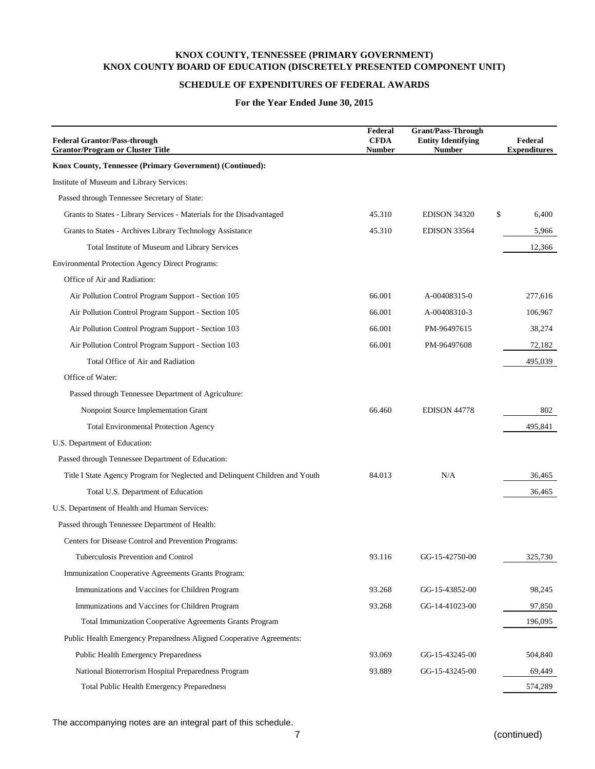#### **SCHEDULE OF EXPENDITURES OF FEDERAL AWARDS**

#### **For the Year Ended June 30, 2015**

| <b>Federal Grantor/Pass-through</b><br><b>Grantor/Program or Cluster Title</b> | Federal<br><b>CFDA</b><br><b>Number</b> | <b>Grant/Pass-Through</b><br><b>Entity Identifying</b><br><b>Number</b> | Federal<br><b>Expenditures</b> |
|--------------------------------------------------------------------------------|-----------------------------------------|-------------------------------------------------------------------------|--------------------------------|
| Knox County, Tennessee (Primary Government) (Continued):                       |                                         |                                                                         |                                |
| Institute of Museum and Library Services:                                      |                                         |                                                                         |                                |
| Passed through Tennessee Secretary of State:                                   |                                         |                                                                         |                                |
| Grants to States - Library Services - Materials for the Disadvantaged          | 45.310                                  | <b>EDISON 34320</b>                                                     | \$<br>6,400                    |
| Grants to States - Archives Library Technology Assistance                      | 45.310                                  | <b>EDISON 33564</b>                                                     | 5,966                          |
| Total Institute of Museum and Library Services                                 |                                         |                                                                         | 12,366                         |
| <b>Environmental Protection Agency Direct Programs:</b>                        |                                         |                                                                         |                                |
| Office of Air and Radiation:                                                   |                                         |                                                                         |                                |
| Air Pollution Control Program Support - Section 105                            | 66.001                                  | A-00408315-0                                                            | 277,616                        |
| Air Pollution Control Program Support - Section 105                            | 66.001                                  | A-00408310-3                                                            | 106,967                        |
| Air Pollution Control Program Support - Section 103                            | 66.001                                  | PM-96497615                                                             | 38,274                         |
| Air Pollution Control Program Support - Section 103                            | 66.001                                  | PM-96497608                                                             | 72,182                         |
| Total Office of Air and Radiation                                              |                                         |                                                                         | 495,039                        |
| Office of Water:                                                               |                                         |                                                                         |                                |
| Passed through Tennessee Department of Agriculture:                            |                                         |                                                                         |                                |
| Nonpoint Source Implementation Grant                                           | 66.460                                  | EDISON 44778                                                            | 802                            |
| <b>Total Environmental Protection Agency</b>                                   |                                         |                                                                         | 495,841                        |
| U.S. Department of Education:                                                  |                                         |                                                                         |                                |
| Passed through Tennessee Department of Education:                              |                                         |                                                                         |                                |
| Title I State Agency Program for Neglected and Delinquent Children and Youth   | 84.013                                  | N/A                                                                     | 36,465                         |
| Total U.S. Department of Education                                             |                                         |                                                                         | 36,465                         |
| U.S. Department of Health and Human Services:                                  |                                         |                                                                         |                                |
| Passed through Tennessee Department of Health:                                 |                                         |                                                                         |                                |
| Centers for Disease Control and Prevention Programs:                           |                                         |                                                                         |                                |
| Tuberculosis Prevention and Control                                            | 93.116                                  | GG-15-42750-00                                                          | 325,730                        |
| Immunization Cooperative Agreements Grants Program:                            |                                         |                                                                         |                                |
| Immunizations and Vaccines for Children Program                                | 93.268                                  | GG-15-43852-00                                                          | 98,245                         |
| Immunizations and Vaccines for Children Program                                | 93.268                                  | GG-14-41023-00                                                          | 97,850                         |
| Total Immunization Cooperative Agreements Grants Program                       |                                         |                                                                         | 196,095                        |
| Public Health Emergency Preparedness Aligned Cooperative Agreements:           |                                         |                                                                         |                                |
| Public Health Emergency Preparedness                                           | 93.069                                  | GG-15-43245-00                                                          | 504,840                        |
| National Bioterrorism Hospital Preparedness Program                            | 93.889                                  | GG-15-43245-00                                                          | 69,449                         |
| Total Public Health Emergency Preparedness                                     |                                         |                                                                         | 574,289                        |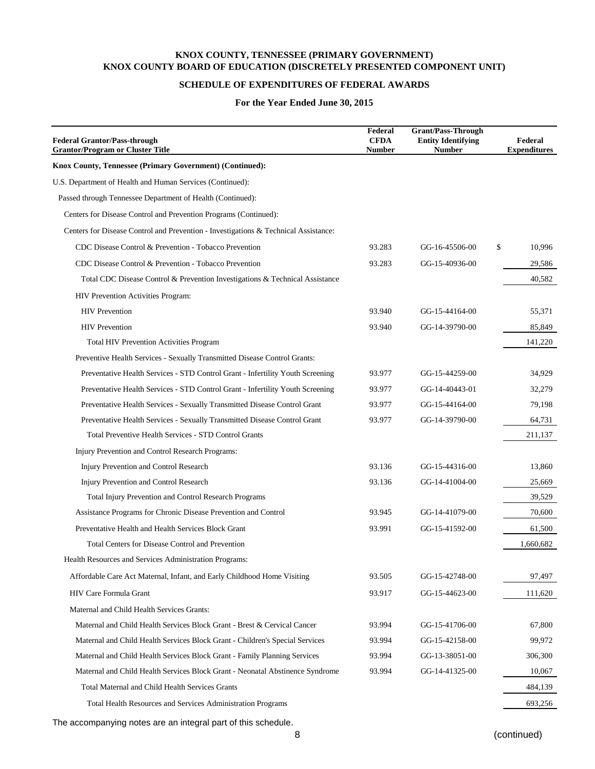#### **SCHEDULE OF EXPENDITURES OF FEDERAL AWARDS**

#### **For the Year Ended June 30, 2015**

| <b>Federal Grantor/Pass-through</b><br><b>Grantor/Program or Cluster Title</b>      | Federal<br><b>CFDA</b><br><b>Number</b> | <b>Grant/Pass-Through</b><br><b>Entity Identifying</b><br><b>Number</b> | Federal<br><b>Expenditures</b> |
|-------------------------------------------------------------------------------------|-----------------------------------------|-------------------------------------------------------------------------|--------------------------------|
| Knox County, Tennessee (Primary Government) (Continued):                            |                                         |                                                                         |                                |
| U.S. Department of Health and Human Services (Continued):                           |                                         |                                                                         |                                |
| Passed through Tennessee Department of Health (Continued):                          |                                         |                                                                         |                                |
| Centers for Disease Control and Prevention Programs (Continued):                    |                                         |                                                                         |                                |
| Centers for Disease Control and Prevention - Investigations & Technical Assistance: |                                         |                                                                         |                                |
| CDC Disease Control & Prevention - Tobacco Prevention                               | 93.283                                  | GG-16-45506-00                                                          | \$<br>10,996                   |
| CDC Disease Control & Prevention - Tobacco Prevention                               | 93.283                                  | GG-15-40936-00                                                          | 29,586                         |
| Total CDC Disease Control & Prevention Investigations & Technical Assistance        |                                         |                                                                         | 40,582                         |
| HIV Prevention Activities Program:                                                  |                                         |                                                                         |                                |
| <b>HIV</b> Prevention                                                               | 93.940                                  | GG-15-44164-00                                                          | 55,371                         |
| <b>HIV</b> Prevention                                                               | 93.940                                  | GG-14-39790-00                                                          | 85,849                         |
| <b>Total HIV Prevention Activities Program</b>                                      |                                         |                                                                         | 141,220                        |
| Preventive Health Services - Sexually Transmitted Disease Control Grants:           |                                         |                                                                         |                                |
| Preventative Health Services - STD Control Grant - Infertility Youth Screening      | 93.977                                  | GG-15-44259-00                                                          | 34,929                         |
| Preventative Health Services - STD Control Grant - Infertility Youth Screening      | 93.977                                  | GG-14-40443-01                                                          | 32,279                         |
| Preventative Health Services - Sexually Transmitted Disease Control Grant           | 93.977                                  | GG-15-44164-00                                                          | 79,198                         |
| Preventative Health Services - Sexually Transmitted Disease Control Grant           | 93.977                                  | GG-14-39790-00                                                          | 64,731                         |
| <b>Total Preventive Health Services - STD Control Grants</b>                        |                                         |                                                                         | 211,137                        |
| Injury Prevention and Control Research Programs:                                    |                                         |                                                                         |                                |
| Injury Prevention and Control Research                                              | 93.136                                  | GG-15-44316-00                                                          | 13,860                         |
| Injury Prevention and Control Research                                              | 93.136                                  | GG-14-41004-00                                                          | 25,669                         |
| Total Injury Prevention and Control Research Programs                               |                                         |                                                                         | 39,529                         |
| Assistance Programs for Chronic Disease Prevention and Control                      | 93.945                                  | GG-14-41079-00                                                          | 70,600                         |
| Preventative Health and Health Services Block Grant                                 | 93.991                                  | GG-15-41592-00                                                          | 61,500                         |
| <b>Total Centers for Disease Control and Prevention</b>                             |                                         |                                                                         | 1,660,682                      |
| Health Resources and Services Administration Programs:                              |                                         |                                                                         |                                |
| Affordable Care Act Maternal, Infant, and Early Childhood Home Visiting             | 93.505                                  | GG-15-42748-00                                                          | 97,497                         |
| HIV Care Formula Grant                                                              | 93.917                                  | GG-15-44623-00                                                          | 111,620                        |
| Maternal and Child Health Services Grants:                                          |                                         |                                                                         |                                |
| Maternal and Child Health Services Block Grant - Brest & Cervical Cancer            | 93.994                                  | GG-15-41706-00                                                          | 67,800                         |
| Maternal and Child Health Services Block Grant - Children's Special Services        | 93.994                                  | GG-15-42158-00                                                          | 99,972                         |
| Maternal and Child Health Services Block Grant - Family Planning Services           | 93.994                                  | GG-13-38051-00                                                          | 306,300                        |
| Maternal and Child Health Services Block Grant - Neonatal Abstinence Syndrome       | 93.994                                  | GG-14-41325-00                                                          | 10,067                         |
| <b>Total Maternal and Child Health Services Grants</b>                              |                                         |                                                                         | 484,139                        |
| Total Health Resources and Services Administration Programs                         |                                         |                                                                         | 693,256                        |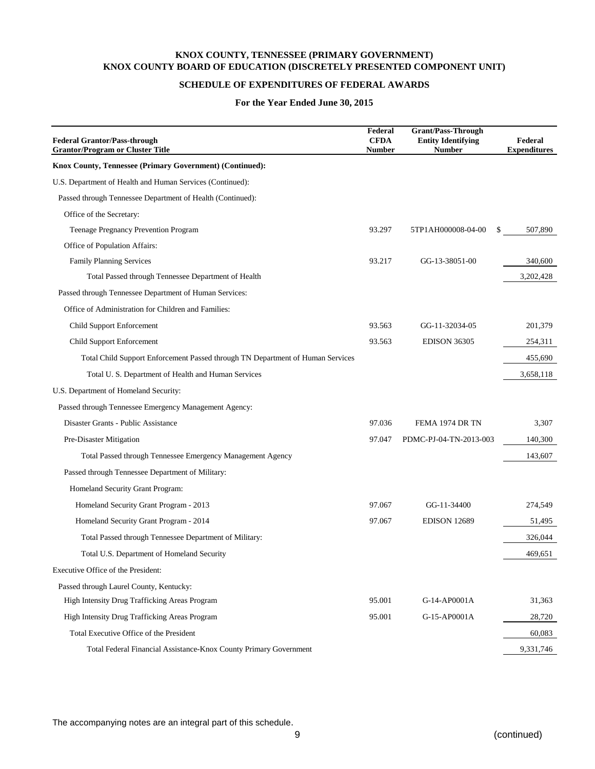#### **SCHEDULE OF EXPENDITURES OF FEDERAL AWARDS**

| <b>Federal Grantor/Pass-through</b><br><b>Grantor/Program or Cluster Title</b> | Federal<br><b>CFDA</b><br>Number | <b>Grant/Pass-Through</b><br><b>Entity Identifying</b><br><b>Number</b> | Federal<br><b>Expenditures</b> |
|--------------------------------------------------------------------------------|----------------------------------|-------------------------------------------------------------------------|--------------------------------|
| Knox County, Tennessee (Primary Government) (Continued):                       |                                  |                                                                         |                                |
| U.S. Department of Health and Human Services (Continued):                      |                                  |                                                                         |                                |
| Passed through Tennessee Department of Health (Continued):                     |                                  |                                                                         |                                |
| Office of the Secretary:                                                       |                                  |                                                                         |                                |
| Teenage Pregnancy Prevention Program                                           | 93.297                           | 5TP1AH000008-04-00<br>\$                                                | 507.890                        |
| Office of Population Affairs:                                                  |                                  |                                                                         |                                |
| <b>Family Planning Services</b>                                                | 93.217                           | GG-13-38051-00                                                          | 340,600                        |
| Total Passed through Tennessee Department of Health                            |                                  |                                                                         | 3,202,428                      |
| Passed through Tennessee Department of Human Services:                         |                                  |                                                                         |                                |
| Office of Administration for Children and Families:                            |                                  |                                                                         |                                |
| <b>Child Support Enforcement</b>                                               | 93.563                           | GG-11-32034-05                                                          | 201,379                        |
| <b>Child Support Enforcement</b>                                               | 93.563                           | <b>EDISON 36305</b>                                                     | 254,311                        |
| Total Child Support Enforcement Passed through TN Department of Human Services |                                  |                                                                         | 455,690                        |
| Total U.S. Department of Health and Human Services                             |                                  |                                                                         | 3,658,118                      |
| U.S. Department of Homeland Security:                                          |                                  |                                                                         |                                |
| Passed through Tennessee Emergency Management Agency:                          |                                  |                                                                         |                                |
| Disaster Grants - Public Assistance                                            | 97.036                           | FEMA 1974 DR TN                                                         | 3,307                          |
| Pre-Disaster Mitigation                                                        | 97.047                           | PDMC-PJ-04-TN-2013-003                                                  | 140,300                        |
| Total Passed through Tennessee Emergency Management Agency                     |                                  |                                                                         | 143,607                        |
| Passed through Tennessee Department of Military:                               |                                  |                                                                         |                                |
| Homeland Security Grant Program:                                               |                                  |                                                                         |                                |
| Homeland Security Grant Program - 2013                                         | 97.067                           | GG-11-34400                                                             | 274,549                        |
| Homeland Security Grant Program - 2014                                         | 97.067                           | <b>EDISON 12689</b>                                                     | 51,495                         |
| Total Passed through Tennessee Department of Military:                         |                                  |                                                                         | 326,044                        |
| Total U.S. Department of Homeland Security                                     |                                  |                                                                         | 469,651                        |
| Executive Office of the President:                                             |                                  |                                                                         |                                |
| Passed through Laurel County, Kentucky:                                        |                                  |                                                                         |                                |
| High Intensity Drug Trafficking Areas Program                                  | 95.001                           | G-14-AP0001A                                                            | 31,363                         |
| High Intensity Drug Trafficking Areas Program                                  | 95.001                           | G-15-AP0001A                                                            | 28,720                         |
| Total Executive Office of the President                                        |                                  |                                                                         | 60,083                         |
| Total Federal Financial Assistance-Knox County Primary Government              |                                  |                                                                         | 9,331,746                      |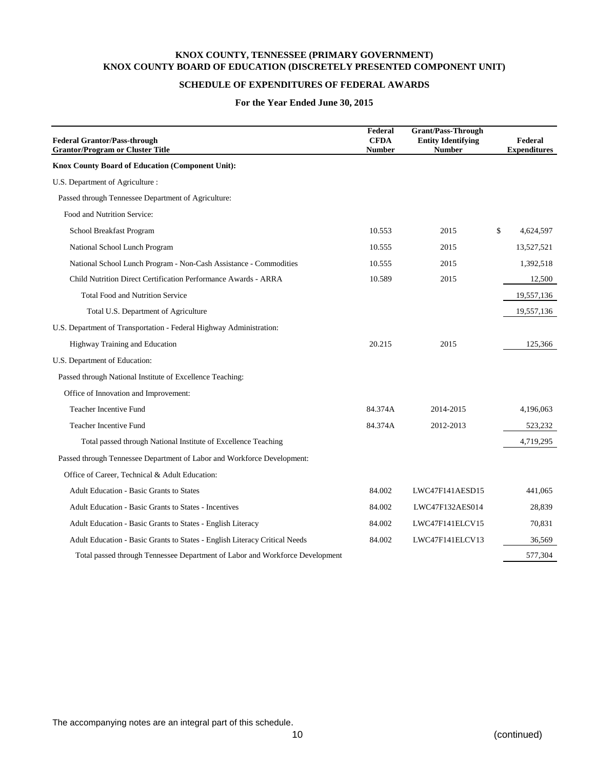# **SCHEDULE OF EXPENDITURES OF FEDERAL AWARDS**

| <b>Federal Grantor/Pass-through</b><br><b>Grantor/Program or Cluster Title</b> | Federal<br><b>CFDA</b><br><b>Number</b> | <b>Grant/Pass-Through</b><br><b>Entity Identifying</b><br><b>Number</b> | Federal<br><b>Expenditures</b> |
|--------------------------------------------------------------------------------|-----------------------------------------|-------------------------------------------------------------------------|--------------------------------|
| Knox County Board of Education (Component Unit):                               |                                         |                                                                         |                                |
| U.S. Department of Agriculture :                                               |                                         |                                                                         |                                |
| Passed through Tennessee Department of Agriculture:                            |                                         |                                                                         |                                |
| Food and Nutrition Service:                                                    |                                         |                                                                         |                                |
| School Breakfast Program                                                       | 10.553                                  | 2015                                                                    | \$<br>4,624,597                |
| National School Lunch Program                                                  | 10.555                                  | 2015                                                                    | 13,527,521                     |
| National School Lunch Program - Non-Cash Assistance - Commodities              | 10.555                                  | 2015                                                                    | 1,392,518                      |
| Child Nutrition Direct Certification Performance Awards - ARRA                 | 10.589                                  | 2015                                                                    | 12,500                         |
| <b>Total Food and Nutrition Service</b>                                        |                                         |                                                                         | 19,557,136                     |
| Total U.S. Department of Agriculture                                           |                                         |                                                                         | 19,557,136                     |
| U.S. Department of Transportation - Federal Highway Administration:            |                                         |                                                                         |                                |
| Highway Training and Education                                                 | 20.215                                  | 2015                                                                    | 125,366                        |
| U.S. Department of Education:                                                  |                                         |                                                                         |                                |
| Passed through National Institute of Excellence Teaching:                      |                                         |                                                                         |                                |
| Office of Innovation and Improvement:                                          |                                         |                                                                         |                                |
| <b>Teacher Incentive Fund</b>                                                  | 84.374A                                 | 2014-2015                                                               | 4,196,063                      |
| <b>Teacher Incentive Fund</b>                                                  | 84.374A                                 | 2012-2013                                                               | 523,232                        |
| Total passed through National Institute of Excellence Teaching                 |                                         |                                                                         | 4,719,295                      |
| Passed through Tennessee Department of Labor and Workforce Development:        |                                         |                                                                         |                                |
| Office of Career, Technical & Adult Education:                                 |                                         |                                                                         |                                |
| <b>Adult Education - Basic Grants to States</b>                                | 84.002                                  | LWC47F141AESD15                                                         | 441,065                        |
| <b>Adult Education - Basic Grants to States - Incentives</b>                   | 84.002                                  | LWC47F132AES014                                                         | 28,839                         |
| <b>Adult Education - Basic Grants to States - English Literacy</b>             | 84.002                                  | LWC47F141ELCV15                                                         | 70,831                         |
| Adult Education - Basic Grants to States - English Literacy Critical Needs     | 84.002                                  | LWC47F141ELCV13                                                         | 36,569                         |
| Total passed through Tennessee Department of Labor and Workforce Development   |                                         |                                                                         | 577,304                        |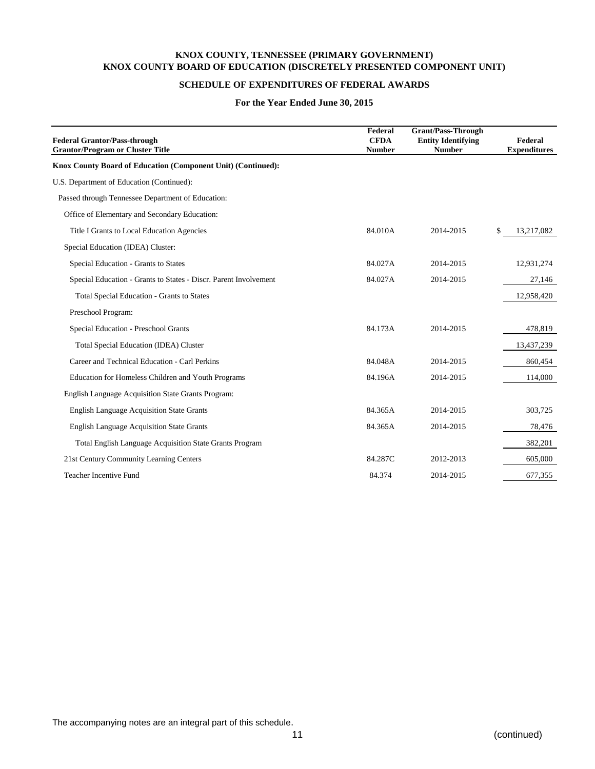# **SCHEDULE OF EXPENDITURES OF FEDERAL AWARDS**

| <b>Federal Grantor/Pass-through</b><br><b>Grantor/Program or Cluster Title</b> | Federal<br><b>CFDA</b><br><b>Number</b> | <b>Grant/Pass-Through</b><br><b>Entity Identifying</b><br><b>Number</b> | Federal<br><b>Expenditures</b> |
|--------------------------------------------------------------------------------|-----------------------------------------|-------------------------------------------------------------------------|--------------------------------|
| Knox County Board of Education (Component Unit) (Continued):                   |                                         |                                                                         |                                |
| U.S. Department of Education (Continued):                                      |                                         |                                                                         |                                |
| Passed through Tennessee Department of Education:                              |                                         |                                                                         |                                |
| Office of Elementary and Secondary Education:                                  |                                         |                                                                         |                                |
| Title I Grants to Local Education Agencies                                     | 84.010A                                 | 2014-2015                                                               | \$<br>13,217,082               |
| Special Education (IDEA) Cluster:                                              |                                         |                                                                         |                                |
| Special Education - Grants to States                                           | 84.027A                                 | 2014-2015                                                               | 12,931,274                     |
| Special Education - Grants to States - Discr. Parent Involvement               | 84.027A                                 | 2014-2015                                                               | 27,146                         |
| Total Special Education - Grants to States                                     |                                         |                                                                         | 12,958,420                     |
| Preschool Program:                                                             |                                         |                                                                         |                                |
| Special Education - Preschool Grants                                           | 84.173A                                 | 2014-2015                                                               | 478,819                        |
| Total Special Education (IDEA) Cluster                                         |                                         |                                                                         | 13,437,239                     |
| Career and Technical Education - Carl Perkins                                  | 84.048A                                 | 2014-2015                                                               | 860,454                        |
| Education for Homeless Children and Youth Programs                             | 84.196A                                 | 2014-2015                                                               | 114,000                        |
| English Language Acquisition State Grants Program:                             |                                         |                                                                         |                                |
| <b>English Language Acquisition State Grants</b>                               | 84.365A                                 | 2014-2015                                                               | 303,725                        |
| <b>English Language Acquisition State Grants</b>                               | 84.365A                                 | 2014-2015                                                               | 78,476                         |
| <b>Total English Language Acquisition State Grants Program</b>                 |                                         |                                                                         | 382,201                        |
| 21st Century Community Learning Centers                                        | 84.287C                                 | 2012-2013                                                               | 605,000                        |
| <b>Teacher Incentive Fund</b>                                                  | 84.374                                  | 2014-2015                                                               | 677,355                        |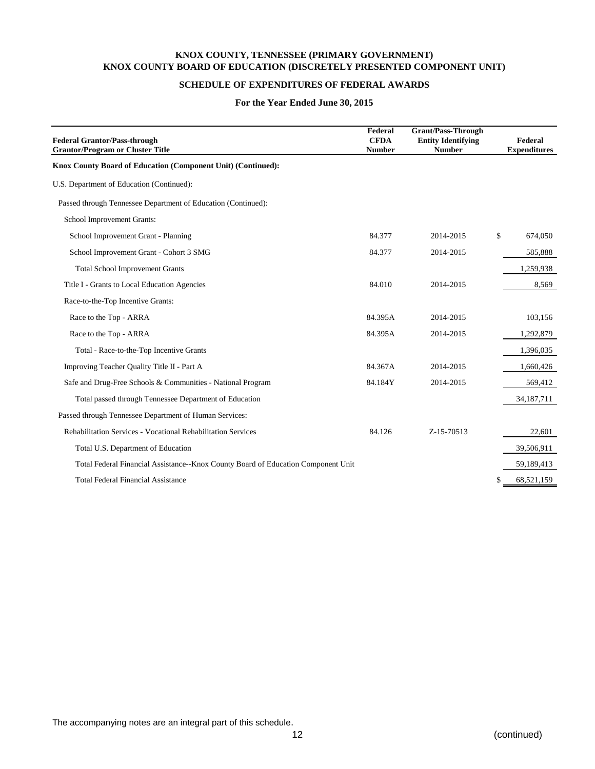# **SCHEDULE OF EXPENDITURES OF FEDERAL AWARDS**

| <b>Federal Grantor/Pass-through</b><br><b>Grantor/Program or Cluster Title</b>    | Federal<br><b>CFDA</b><br><b>Number</b> | <b>Grant/Pass-Through</b><br><b>Entity Identifying</b><br><b>Number</b> | Federal<br><b>Expenditures</b> |
|-----------------------------------------------------------------------------------|-----------------------------------------|-------------------------------------------------------------------------|--------------------------------|
| Knox County Board of Education (Component Unit) (Continued):                      |                                         |                                                                         |                                |
| U.S. Department of Education (Continued):                                         |                                         |                                                                         |                                |
| Passed through Tennessee Department of Education (Continued):                     |                                         |                                                                         |                                |
| School Improvement Grants:                                                        |                                         |                                                                         |                                |
| School Improvement Grant - Planning                                               | 84.377                                  | 2014-2015                                                               | \$<br>674,050                  |
| School Improvement Grant - Cohort 3 SMG                                           | 84.377                                  | 2014-2015                                                               | 585,888                        |
| <b>Total School Improvement Grants</b>                                            |                                         |                                                                         | 1,259,938                      |
| Title I - Grants to Local Education Agencies                                      | 84.010                                  | 2014-2015                                                               | 8,569                          |
| Race-to-the-Top Incentive Grants:                                                 |                                         |                                                                         |                                |
| Race to the Top - ARRA                                                            | 84.395A                                 | 2014-2015                                                               | 103,156                        |
| Race to the Top - ARRA                                                            | 84.395A                                 | 2014-2015                                                               | 1,292,879                      |
| Total - Race-to-the-Top Incentive Grants                                          |                                         |                                                                         | 1,396,035                      |
| Improving Teacher Quality Title II - Part A                                       | 84.367A                                 | 2014-2015                                                               | 1,660,426                      |
| Safe and Drug-Free Schools & Communities - National Program                       | 84.184Y                                 | 2014-2015                                                               | 569,412                        |
| Total passed through Tennessee Department of Education                            |                                         |                                                                         | 34,187,711                     |
| Passed through Tennessee Department of Human Services:                            |                                         |                                                                         |                                |
| <b>Rehabilitation Services - Vocational Rehabilitation Services</b>               | 84.126                                  | Z-15-70513                                                              | 22,601                         |
| Total U.S. Department of Education                                                |                                         |                                                                         | 39,506,911                     |
| Total Federal Financial Assistance--Knox County Board of Education Component Unit |                                         |                                                                         | 59,189,413                     |
| <b>Total Federal Financial Assistance</b>                                         |                                         |                                                                         | \$<br>68,521,159               |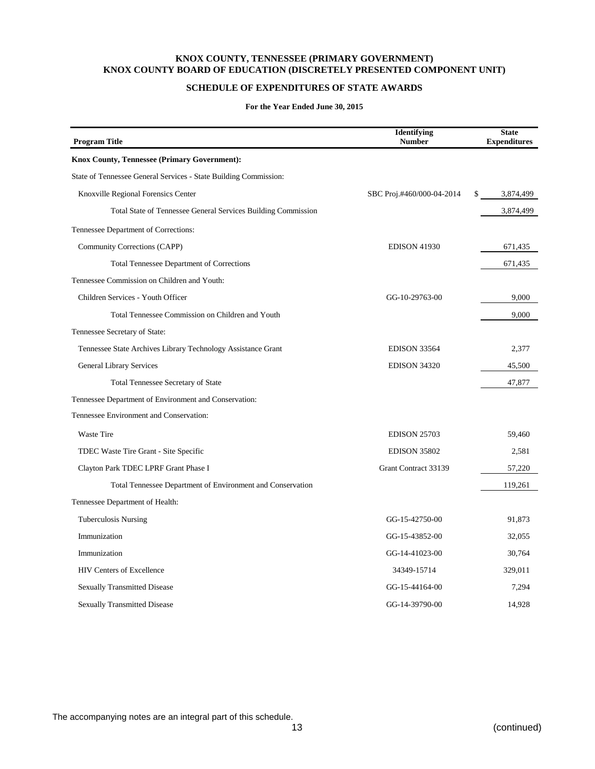### **SCHEDULE OF EXPENDITURES OF STATE AWARDS**

#### **For the Year Ended June 30, 2015**

| <b>Program Title</b>                                             | <b>Identifying</b><br><b>Number</b> | <b>State</b><br><b>Expenditures</b> |
|------------------------------------------------------------------|-------------------------------------|-------------------------------------|
| Knox County, Tennessee (Primary Government):                     |                                     |                                     |
| State of Tennessee General Services - State Building Commission: |                                     |                                     |
| Knoxville Regional Forensics Center                              | SBC Proj.#460/000-04-2014           | \$<br>3,874,499                     |
| Total State of Tennessee General Services Building Commission    |                                     | 3,874,499                           |
| Tennessee Department of Corrections:                             |                                     |                                     |
| Community Corrections (CAPP)                                     | <b>EDISON 41930</b>                 | 671,435                             |
| <b>Total Tennessee Department of Corrections</b>                 |                                     | 671,435                             |
| Tennessee Commission on Children and Youth:                      |                                     |                                     |
| Children Services - Youth Officer                                | GG-10-29763-00                      | 9,000                               |
| Total Tennessee Commission on Children and Youth                 |                                     | 9,000                               |
| Tennessee Secretary of State:                                    |                                     |                                     |
| Tennessee State Archives Library Technology Assistance Grant     | <b>EDISON 33564</b>                 | 2,377                               |
| General Library Services                                         | <b>EDISON 34320</b>                 | 45,500                              |
| Total Tennessee Secretary of State                               |                                     | 47,877                              |
| Tennessee Department of Environment and Conservation:            |                                     |                                     |
| Tennessee Environment and Conservation:                          |                                     |                                     |
| <b>Waste Tire</b>                                                | <b>EDISON 25703</b>                 | 59,460                              |
| TDEC Waste Tire Grant - Site Specific                            | <b>EDISON 35802</b>                 | 2,581                               |
| Clayton Park TDEC LPRF Grant Phase I                             | Grant Contract 33139                | 57,220                              |
| Total Tennessee Department of Environment and Conservation       |                                     | 119,261                             |
| Tennessee Department of Health:                                  |                                     |                                     |
| <b>Tuberculosis Nursing</b>                                      | GG-15-42750-00                      | 91,873                              |
| Immunization                                                     | GG-15-43852-00                      | 32,055                              |
| Immunization                                                     | GG-14-41023-00                      | 30,764                              |
| <b>HIV Centers of Excellence</b>                                 | 34349-15714                         | 329,011                             |
| <b>Sexually Transmitted Disease</b>                              | GG-15-44164-00                      | 7,294                               |
| <b>Sexually Transmitted Disease</b>                              | GG-14-39790-00                      | 14,928                              |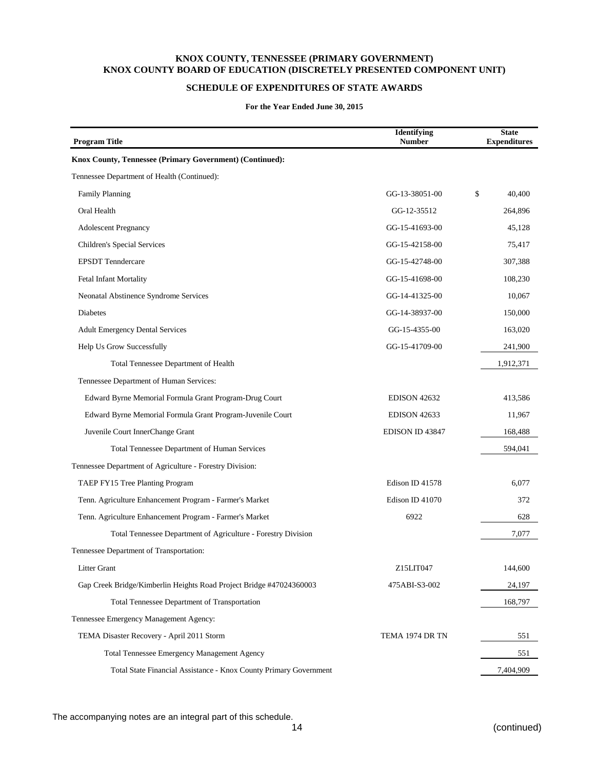# **SCHEDULE OF EXPENDITURES OF STATE AWARDS**

#### **For the Year Ended June 30, 2015**

| <b>Program Title</b>                                                | <b>Identifying</b><br><b>Number</b> | <b>State</b><br><b>Expenditures</b> |
|---------------------------------------------------------------------|-------------------------------------|-------------------------------------|
| Knox County, Tennessee (Primary Government) (Continued):            |                                     |                                     |
| Tennessee Department of Health (Continued):                         |                                     |                                     |
| <b>Family Planning</b>                                              | GG-13-38051-00                      | 40,400<br>\$                        |
| Oral Health                                                         | GG-12-35512                         | 264,896                             |
| <b>Adolescent Pregnancy</b>                                         | GG-15-41693-00                      | 45,128                              |
| Children's Special Services                                         | GG-15-42158-00                      | 75,417                              |
| <b>EPSDT</b> Tenndercare                                            | GG-15-42748-00                      | 307,388                             |
| <b>Fetal Infant Mortality</b>                                       | GG-15-41698-00                      | 108,230                             |
| Neonatal Abstinence Syndrome Services                               | GG-14-41325-00                      | 10,067                              |
| Diabetes                                                            | GG-14-38937-00                      | 150,000                             |
| <b>Adult Emergency Dental Services</b>                              | GG-15-4355-00                       | 163,020                             |
| Help Us Grow Successfully                                           | GG-15-41709-00                      | 241,900                             |
| Total Tennessee Department of Health                                |                                     | 1,912,371                           |
| Tennessee Department of Human Services:                             |                                     |                                     |
| Edward Byrne Memorial Formula Grant Program-Drug Court              | <b>EDISON 42632</b>                 | 413,586                             |
| Edward Byrne Memorial Formula Grant Program-Juvenile Court          | <b>EDISON 42633</b>                 | 11,967                              |
| Juvenile Court InnerChange Grant                                    | EDISON ID 43847                     | 168,488                             |
| Total Tennessee Department of Human Services                        |                                     | 594,041                             |
| Tennessee Department of Agriculture - Forestry Division:            |                                     |                                     |
| TAEP FY15 Tree Planting Program                                     | Edison ID 41578                     | 6,077                               |
| Tenn. Agriculture Enhancement Program - Farmer's Market             | Edison ID 41070                     | 372                                 |
| Tenn. Agriculture Enhancement Program - Farmer's Market             | 6922                                | 628                                 |
| Total Tennessee Department of Agriculture - Forestry Division       |                                     | 7,077                               |
| Tennessee Department of Transportation:                             |                                     |                                     |
| Litter Grant                                                        | Z15LIT047                           | 144,600                             |
| Gap Creek Bridge/Kimberlin Heights Road Project Bridge #47024360003 | 475ABI-S3-002                       | 24,197                              |
| Total Tennessee Department of Transportation                        |                                     | 168,797                             |
| Tennessee Emergency Management Agency:                              |                                     |                                     |
| TEMA Disaster Recovery - April 2011 Storm                           | TEMA 1974 DR TN                     | 551                                 |
| Total Tennessee Emergency Management Agency                         |                                     | 551                                 |
| Total State Financial Assistance - Knox County Primary Government   |                                     | 7,404,909                           |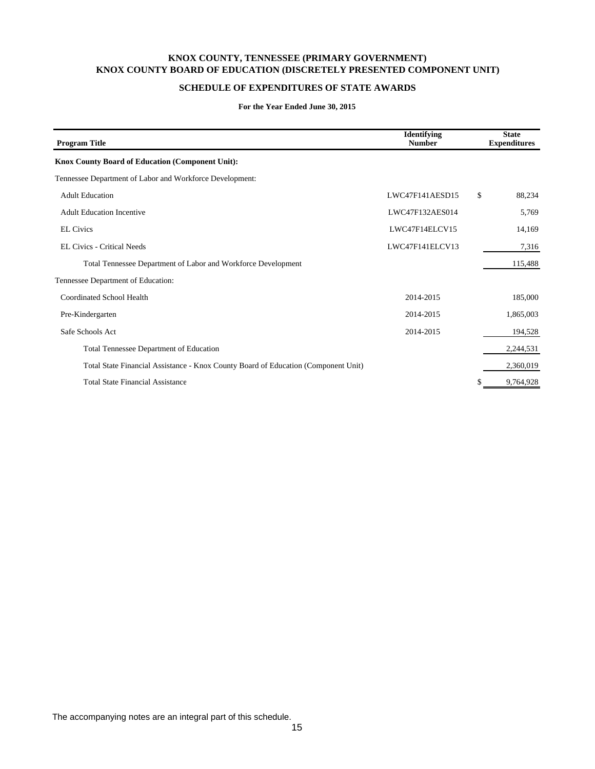# **SCHEDULE OF EXPENDITURES OF STATE AWARDS**

#### **For the Year Ended June 30, 2015**

| <b>Program Title</b>                                                               | <b>Identifying</b><br><b>Number</b> | <b>State</b><br><b>Expenditures</b> |
|------------------------------------------------------------------------------------|-------------------------------------|-------------------------------------|
| <b>Knox County Board of Education (Component Unit):</b>                            |                                     |                                     |
| Tennessee Department of Labor and Workforce Development:                           |                                     |                                     |
| <b>Adult Education</b>                                                             | LWC47F141AESD15                     | \$<br>88,234                        |
| <b>Adult Education Incentive</b>                                                   | LWC47F132AES014                     | 5,769                               |
| <b>EL Civics</b>                                                                   | LWC47F14ELCV15                      | 14,169                              |
| <b>EL Civics - Critical Needs</b>                                                  | LWC47F141ELCV13                     | 7,316                               |
| Total Tennessee Department of Labor and Workforce Development                      |                                     | 115,488                             |
| Tennessee Department of Education:                                                 |                                     |                                     |
| Coordinated School Health                                                          | 2014-2015                           | 185,000                             |
| Pre-Kindergarten                                                                   | 2014-2015                           | 1,865,003                           |
| Safe Schools Act                                                                   | 2014-2015                           | 194,528                             |
| Total Tennessee Department of Education                                            |                                     | 2,244,531                           |
| Total State Financial Assistance - Knox County Board of Education (Component Unit) |                                     | 2,360,019                           |
| <b>Total State Financial Assistance</b>                                            |                                     | 9,764,928                           |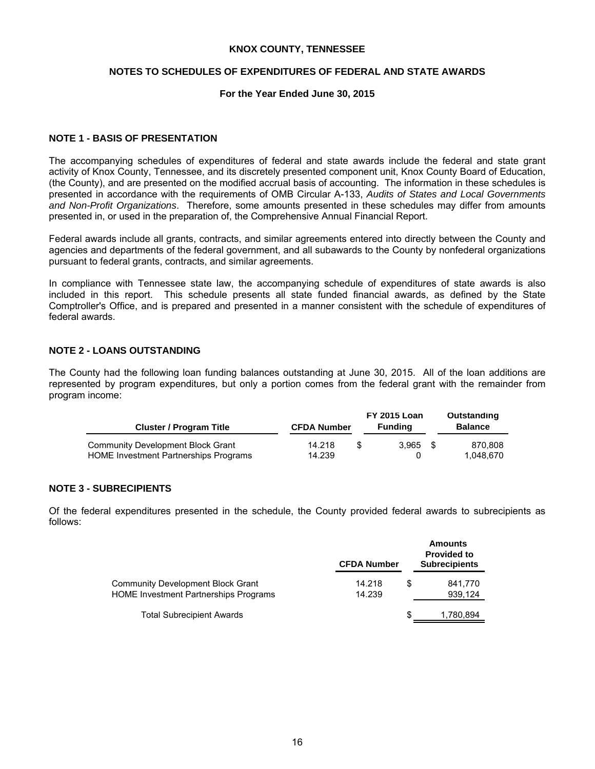### **NOTES TO SCHEDULES OF EXPENDITURES OF FEDERAL AND STATE AWARDS**

### **For the Year Ended June 30, 2015**

# **NOTE 1 - BASIS OF PRESENTATION**

The accompanying schedules of expenditures of federal and state awards include the federal and state grant activity of Knox County, Tennessee, and its discretely presented component unit, Knox County Board of Education, (the County), and are presented on the modified accrual basis of accounting. The information in these schedules is presented in accordance with the requirements of OMB Circular A-133, *Audits of States and Local Governments and Non-Profit Organizations*. Therefore, some amounts presented in these schedules may differ from amounts presented in, or used in the preparation of, the Comprehensive Annual Financial Report.

Federal awards include all grants, contracts, and similar agreements entered into directly between the County and agencies and departments of the federal government, and all subawards to the County by nonfederal organizations pursuant to federal grants, contracts, and similar agreements.

In compliance with Tennessee state law, the accompanying schedule of expenditures of state awards is also included in this report. This schedule presents all state funded financial awards, as defined by the State Comptroller's Office, and is prepared and presented in a manner consistent with the schedule of expenditures of federal awards.

# **NOTE 2 - LOANS OUTSTANDING**

The County had the following loan funding balances outstanding at June 30, 2015. All of the loan additions are represented by program expenditures, but only a portion comes from the federal grant with the remainder from program income:

| <b>Cluster / Program Title</b>               | <b>CFDA Number</b> |   | <b>FY 2015 Loan</b><br><b>Fundina</b> | Outstanding<br><b>Balance</b> |
|----------------------------------------------|--------------------|---|---------------------------------------|-------------------------------|
| Community Development Block Grant            | 14.218             | S | $3.965$ \$                            | 870.808                       |
| <b>HOME Investment Partnerships Programs</b> | 14.239             |   |                                       | 1.048.670                     |

### **NOTE 3 - SUBRECIPIENTS**

Of the federal expenditures presented in the schedule, the County provided federal awards to subrecipients as follows:

|                                              | <b>CFDA Number</b> |     | <b>Amounts</b><br><b>Provided to</b><br><b>Subrecipients</b> |
|----------------------------------------------|--------------------|-----|--------------------------------------------------------------|
| Community Development Block Grant            | 14.218             | S   | 841,770                                                      |
| <b>HOME Investment Partnerships Programs</b> | 14.239             |     | 939,124                                                      |
| <b>Total Subrecipient Awards</b>             |                    | \$. | 1,780,894                                                    |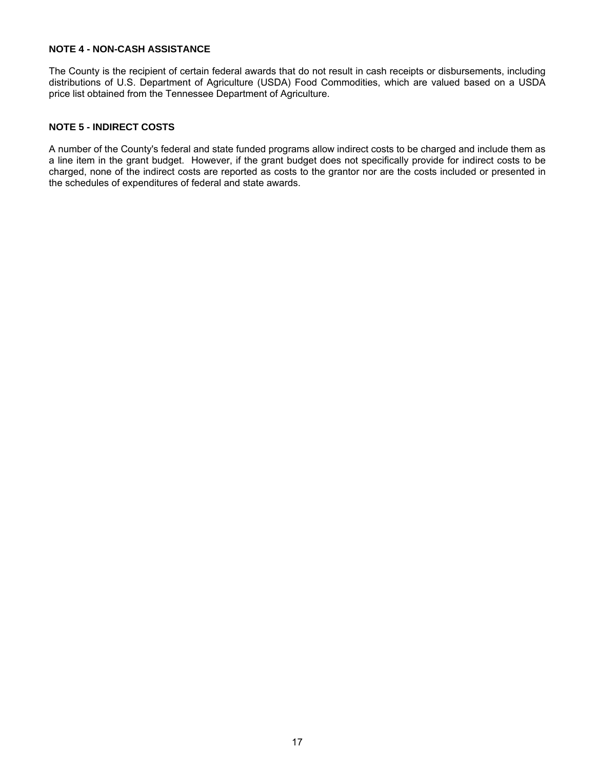# **NOTE 4 - NON-CASH ASSISTANCE**

The County is the recipient of certain federal awards that do not result in cash receipts or disbursements, including distributions of U.S. Department of Agriculture (USDA) Food Commodities, which are valued based on a USDA price list obtained from the Tennessee Department of Agriculture.

# **NOTE 5 - INDIRECT COSTS**

A number of the County's federal and state funded programs allow indirect costs to be charged and include them as a line item in the grant budget. However, if the grant budget does not specifically provide for indirect costs to be charged, none of the indirect costs are reported as costs to the grantor nor are the costs included or presented in the schedules of expenditures of federal and state awards.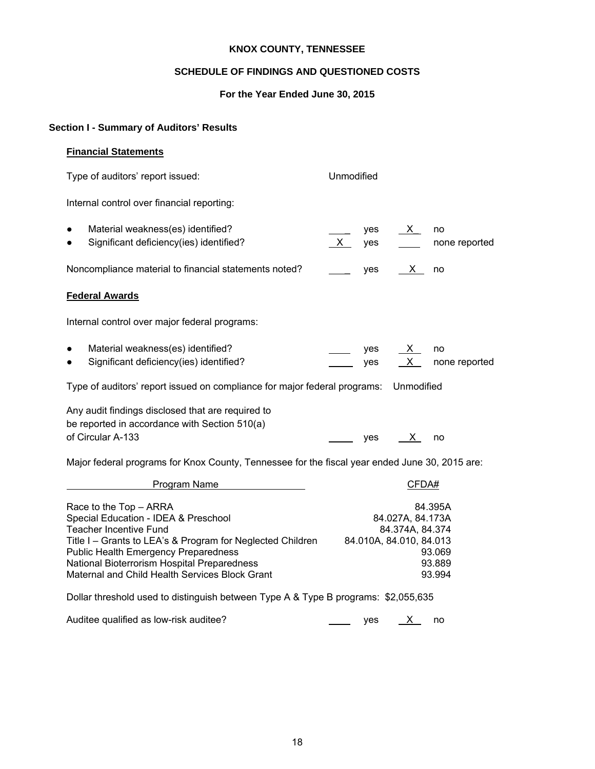# **SCHEDULE OF FINDINGS AND QUESTIONED COSTS**

### **For the Year Ended June 30, 2015**

# **Section I - Summary of Auditors' Results**

### **Financial Statements**

Type of auditors' report issued: Unmodified

Internal control over financial reporting:

| $\bullet$ | Material weakness(es) identified?                     |       | ves | $\mathsf{X}$      | no            |
|-----------|-------------------------------------------------------|-------|-----|-------------------|---------------|
|           | $\bullet$ Significant deficiency(ies) identified?     | X yes |     | $\sim$ 100 $\sim$ | none reported |
|           | Noncompliance material to financial statements noted? |       | ves |                   | no            |

# **Federal Awards**

Internal control over major federal programs:

| Material weakness(es) identified?       | ves | $\mathsf{X}$ |               |
|-----------------------------------------|-----|--------------|---------------|
| Significant deficiency(ies) identified? | ves | $\mathsf{X}$ | none reported |

Type of auditors' report issued on compliance for major federal programs: Unmodified

Any audit findings disclosed that are required to be reported in accordance with Section 510(a) of Circular A-133 **b** yes X no

Major federal programs for Knox County, Tennessee for the fiscal year ended June 30, 2015 are:

| Program Name                                                                       | CFDA#                   |  |  |
|------------------------------------------------------------------------------------|-------------------------|--|--|
| Race to the Top - ARRA                                                             | 84.395A                 |  |  |
| Special Education - IDEA & Preschool                                               | 84.027A, 84.173A        |  |  |
| <b>Teacher Incentive Fund</b>                                                      | 84.374A, 84.374         |  |  |
| Title I – Grants to LEA's & Program for Neglected Children                         | 84.010A, 84.010, 84.013 |  |  |
| <b>Public Health Emergency Preparedness</b>                                        | 93.069                  |  |  |
| National Bioterrorism Hospital Preparedness                                        | 93.889                  |  |  |
| Maternal and Child Health Services Block Grant                                     | 93.994                  |  |  |
| Dollar threshold used to distinguish between Type A & Type B programs: \$2,055,635 |                         |  |  |

Auditee qualified as low-risk auditee? All the state of the state of the state of the state of the state of the state of the state of the state of the state of the state of the state of the state of the state of the state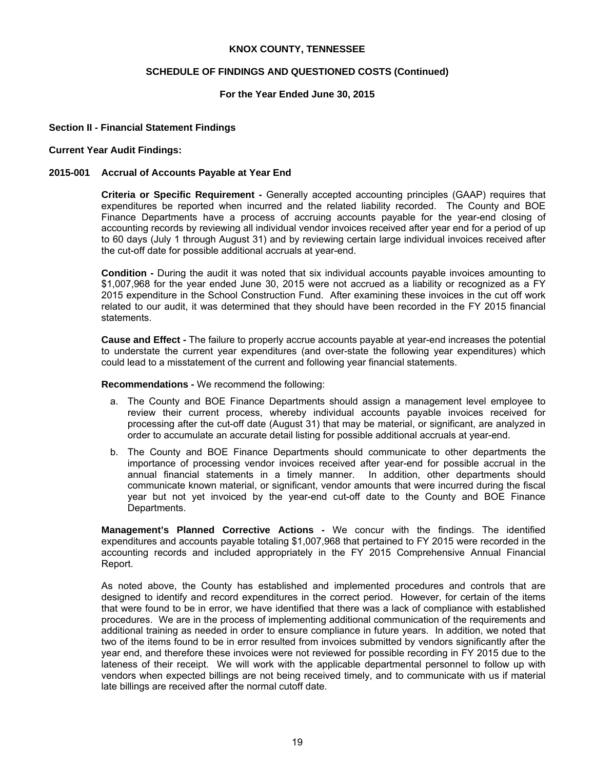### **SCHEDULE OF FINDINGS AND QUESTIONED COSTS (Continued)**

# **For the Year Ended June 30, 2015**

### **Section II - Financial Statement Findings**

### **Current Year Audit Findings:**

### **2015-001 Accrual of Accounts Payable at Year End**

**Criteria or Specific Requirement -** Generally accepted accounting principles (GAAP) requires that expenditures be reported when incurred and the related liability recorded. The County and BOE Finance Departments have a process of accruing accounts payable for the year-end closing of accounting records by reviewing all individual vendor invoices received after year end for a period of up to 60 days (July 1 through August 31) and by reviewing certain large individual invoices received after the cut-off date for possible additional accruals at year-end.

**Condition -** During the audit it was noted that six individual accounts payable invoices amounting to \$1,007,968 for the year ended June 30, 2015 were not accrued as a liability or recognized as a FY 2015 expenditure in the School Construction Fund. After examining these invoices in the cut off work related to our audit, it was determined that they should have been recorded in the FY 2015 financial statements.

**Cause and Effect -** The failure to properly accrue accounts payable at year-end increases the potential to understate the current year expenditures (and over-state the following year expenditures) which could lead to a misstatement of the current and following year financial statements.

**Recommendations -** We recommend the following:

- a. The County and BOE Finance Departments should assign a management level employee to review their current process, whereby individual accounts payable invoices received for processing after the cut-off date (August 31) that may be material, or significant, are analyzed in order to accumulate an accurate detail listing for possible additional accruals at year-end.
- b. The County and BOE Finance Departments should communicate to other departments the importance of processing vendor invoices received after year-end for possible accrual in the annual financial statements in a timely manner. In addition, other departments should communicate known material, or significant, vendor amounts that were incurred during the fiscal year but not yet invoiced by the year-end cut-off date to the County and BOE Finance Departments.

**Management's Planned Corrective Actions -** We concur with the findings. The identified expenditures and accounts payable totaling \$1,007,968 that pertained to FY 2015 were recorded in the accounting records and included appropriately in the FY 2015 Comprehensive Annual Financial Report.

As noted above, the County has established and implemented procedures and controls that are designed to identify and record expenditures in the correct period. However, for certain of the items that were found to be in error, we have identified that there was a lack of compliance with established procedures. We are in the process of implementing additional communication of the requirements and additional training as needed in order to ensure compliance in future years. In addition, we noted that two of the items found to be in error resulted from invoices submitted by vendors significantly after the year end, and therefore these invoices were not reviewed for possible recording in FY 2015 due to the lateness of their receipt. We will work with the applicable departmental personnel to follow up with vendors when expected billings are not being received timely, and to communicate with us if material late billings are received after the normal cutoff date.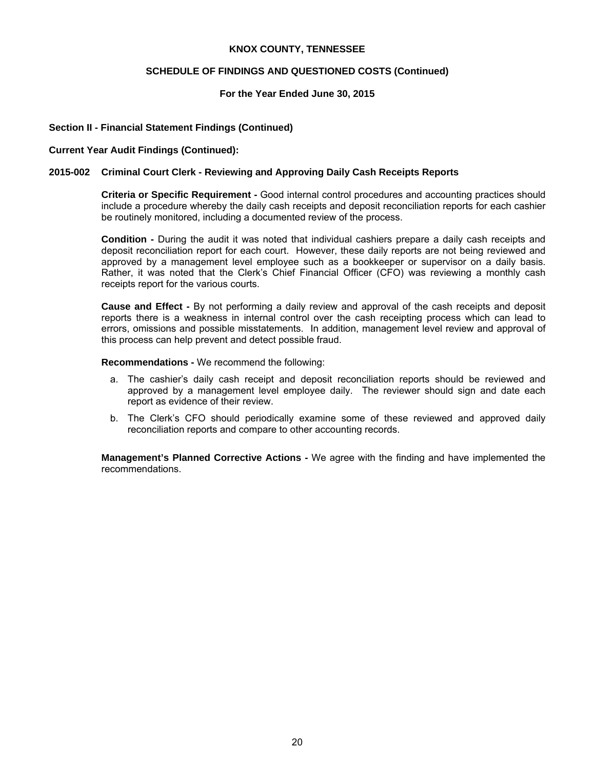### **SCHEDULE OF FINDINGS AND QUESTIONED COSTS (Continued)**

### **For the Year Ended June 30, 2015**

# **Section II - Financial Statement Findings (Continued)**

### **Current Year Audit Findings (Continued):**

### **2015-002 Criminal Court Clerk - Reviewing and Approving Daily Cash Receipts Reports**

**Criteria or Specific Requirement -** Good internal control procedures and accounting practices should include a procedure whereby the daily cash receipts and deposit reconciliation reports for each cashier be routinely monitored, including a documented review of the process.

**Condition -** During the audit it was noted that individual cashiers prepare a daily cash receipts and deposit reconciliation report for each court. However, these daily reports are not being reviewed and approved by a management level employee such as a bookkeeper or supervisor on a daily basis. Rather, it was noted that the Clerk's Chief Financial Officer (CFO) was reviewing a monthly cash receipts report for the various courts.

**Cause and Effect -** By not performing a daily review and approval of the cash receipts and deposit reports there is a weakness in internal control over the cash receipting process which can lead to errors, omissions and possible misstatements. In addition, management level review and approval of this process can help prevent and detect possible fraud.

**Recommendations -** We recommend the following:

- a. The cashier's daily cash receipt and deposit reconciliation reports should be reviewed and approved by a management level employee daily. The reviewer should sign and date each report as evidence of their review.
- b. The Clerk's CFO should periodically examine some of these reviewed and approved daily reconciliation reports and compare to other accounting records.

**Management's Planned Corrective Actions -** We agree with the finding and have implemented the recommendations.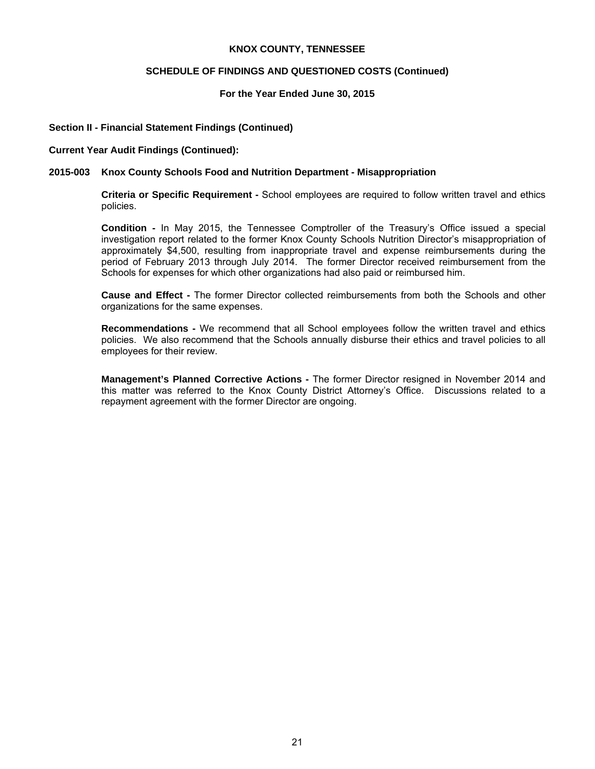### **SCHEDULE OF FINDINGS AND QUESTIONED COSTS (Continued)**

## **For the Year Ended June 30, 2015**

# **Section II - Financial Statement Findings (Continued)**

**Current Year Audit Findings (Continued):**

### **2015-003 Knox County Schools Food and Nutrition Department - Misappropriation**

**Criteria or Specific Requirement -** School employees are required to follow written travel and ethics policies.

**Condition -** In May 2015, the Tennessee Comptroller of the Treasury's Office issued a special investigation report related to the former Knox County Schools Nutrition Director's misappropriation of approximately \$4,500, resulting from inappropriate travel and expense reimbursements during the period of February 2013 through July 2014. The former Director received reimbursement from the Schools for expenses for which other organizations had also paid or reimbursed him.

**Cause and Effect -** The former Director collected reimbursements from both the Schools and other organizations for the same expenses.

**Recommendations -** We recommend that all School employees follow the written travel and ethics policies. We also recommend that the Schools annually disburse their ethics and travel policies to all employees for their review.

**Management's Planned Corrective Actions -** The former Director resigned in November 2014 and this matter was referred to the Knox County District Attorney's Office. Discussions related to a repayment agreement with the former Director are ongoing.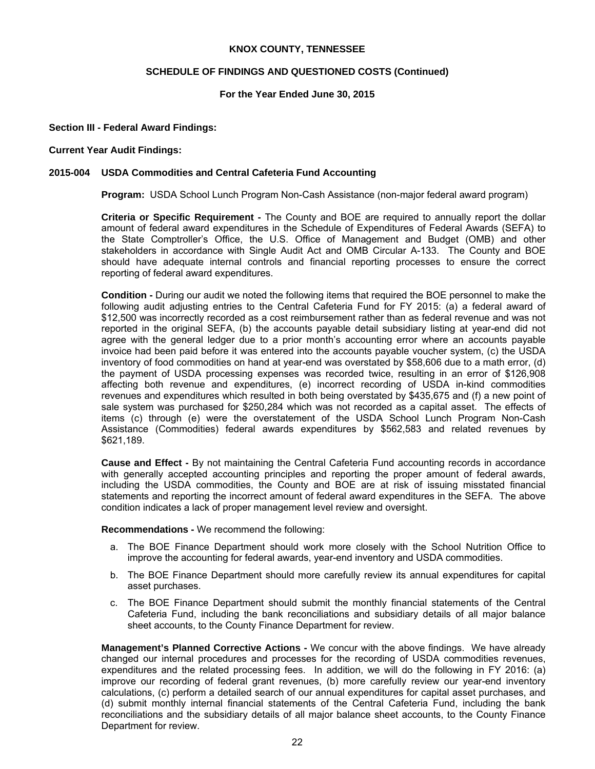## **SCHEDULE OF FINDINGS AND QUESTIONED COSTS (Continued)**

# **For the Year Ended June 30, 2015**

### **Section III - Federal Award Findings:**

### **Current Year Audit Findings:**

### **2015-004 USDA Commodities and Central Cafeteria Fund Accounting**

 **Program:** USDA School Lunch Program Non-Cash Assistance (non-major federal award program)

**Criteria or Specific Requirement -** The County and BOE are required to annually report the dollar amount of federal award expenditures in the Schedule of Expenditures of Federal Awards (SEFA) to the State Comptroller's Office, the U.S. Office of Management and Budget (OMB) and other stakeholders in accordance with Single Audit Act and OMB Circular A-133. The County and BOE should have adequate internal controls and financial reporting processes to ensure the correct reporting of federal award expenditures.

**Condition -** During our audit we noted the following items that required the BOE personnel to make the following audit adjusting entries to the Central Cafeteria Fund for FY 2015: (a) a federal award of \$12,500 was incorrectly recorded as a cost reimbursement rather than as federal revenue and was not reported in the original SEFA, (b) the accounts payable detail subsidiary listing at year-end did not agree with the general ledger due to a prior month's accounting error where an accounts payable invoice had been paid before it was entered into the accounts payable voucher system, (c) the USDA inventory of food commodities on hand at year-end was overstated by \$58,606 due to a math error, (d) the payment of USDA processing expenses was recorded twice, resulting in an error of \$126,908 affecting both revenue and expenditures, (e) incorrect recording of USDA in-kind commodities revenues and expenditures which resulted in both being overstated by \$435,675 and (f) a new point of sale system was purchased for \$250,284 which was not recorded as a capital asset. The effects of items (c) through (e) were the overstatement of the USDA School Lunch Program Non-Cash Assistance (Commodities) federal awards expenditures by \$562,583 and related revenues by \$621,189.

**Cause and Effect -** By not maintaining the Central Cafeteria Fund accounting records in accordance with generally accepted accounting principles and reporting the proper amount of federal awards, including the USDA commodities, the County and BOE are at risk of issuing misstated financial statements and reporting the incorrect amount of federal award expenditures in the SEFA. The above condition indicates a lack of proper management level review and oversight.

**Recommendations -** We recommend the following:

- a. The BOE Finance Department should work more closely with the School Nutrition Office to improve the accounting for federal awards, year-end inventory and USDA commodities.
- b. The BOE Finance Department should more carefully review its annual expenditures for capital asset purchases.
- c. The BOE Finance Department should submit the monthly financial statements of the Central Cafeteria Fund, including the bank reconciliations and subsidiary details of all major balance sheet accounts, to the County Finance Department for review.

**Management's Planned Corrective Actions -** We concur with the above findings. We have already changed our internal procedures and processes for the recording of USDA commodities revenues, expenditures and the related processing fees. In addition, we will do the following in FY 2016: (a) improve our recording of federal grant revenues, (b) more carefully review our year-end inventory calculations, (c) perform a detailed search of our annual expenditures for capital asset purchases, and (d) submit monthly internal financial statements of the Central Cafeteria Fund, including the bank reconciliations and the subsidiary details of all major balance sheet accounts, to the County Finance Department for review.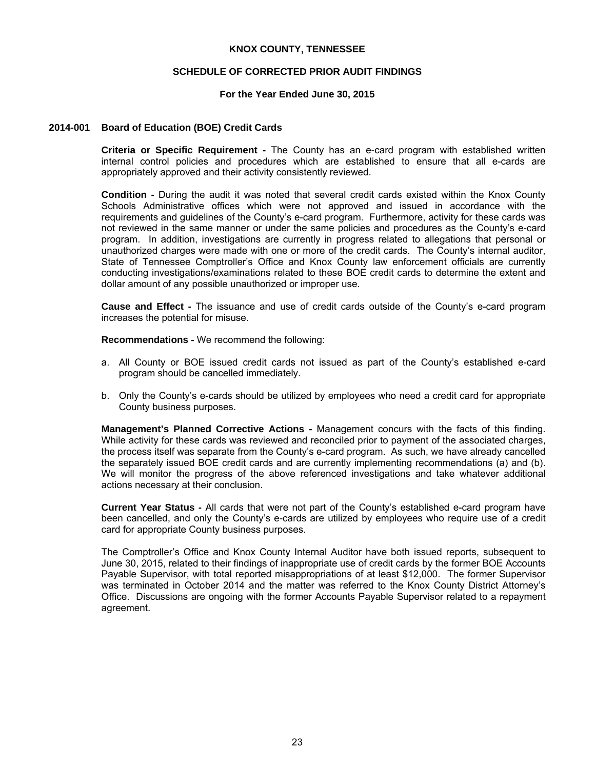#### **SCHEDULE OF CORRECTED PRIOR AUDIT FINDINGS**

### **For the Year Ended June 30, 2015**

#### **2014-001 Board of Education (BOE) Credit Cards**

**Criteria or Specific Requirement -** The County has an e-card program with established written internal control policies and procedures which are established to ensure that all e-cards are appropriately approved and their activity consistently reviewed.

**Condition -** During the audit it was noted that several credit cards existed within the Knox County Schools Administrative offices which were not approved and issued in accordance with the requirements and guidelines of the County's e-card program. Furthermore, activity for these cards was not reviewed in the same manner or under the same policies and procedures as the County's e-card program. In addition, investigations are currently in progress related to allegations that personal or unauthorized charges were made with one or more of the credit cards. The County's internal auditor, State of Tennessee Comptroller's Office and Knox County law enforcement officials are currently conducting investigations/examinations related to these BOE credit cards to determine the extent and dollar amount of any possible unauthorized or improper use.

**Cause and Effect -** The issuance and use of credit cards outside of the County's e-card program increases the potential for misuse.

**Recommendations -** We recommend the following:

- a. All County or BOE issued credit cards not issued as part of the County's established e-card program should be cancelled immediately.
- b. Only the County's e-cards should be utilized by employees who need a credit card for appropriate County business purposes.

**Management's Planned Corrective Actions -** Management concurs with the facts of this finding. While activity for these cards was reviewed and reconciled prior to payment of the associated charges, the process itself was separate from the County's e-card program. As such, we have already cancelled the separately issued BOE credit cards and are currently implementing recommendations (a) and (b). We will monitor the progress of the above referenced investigations and take whatever additional actions necessary at their conclusion.

**Current Year Status -** All cards that were not part of the County's established e-card program have been cancelled, and only the County's e-cards are utilized by employees who require use of a credit card for appropriate County business purposes.

The Comptroller's Office and Knox County Internal Auditor have both issued reports, subsequent to June 30, 2015, related to their findings of inappropriate use of credit cards by the former BOE Accounts Payable Supervisor, with total reported misappropriations of at least \$12,000. The former Supervisor was terminated in October 2014 and the matter was referred to the Knox County District Attorney's Office. Discussions are ongoing with the former Accounts Payable Supervisor related to a repayment agreement.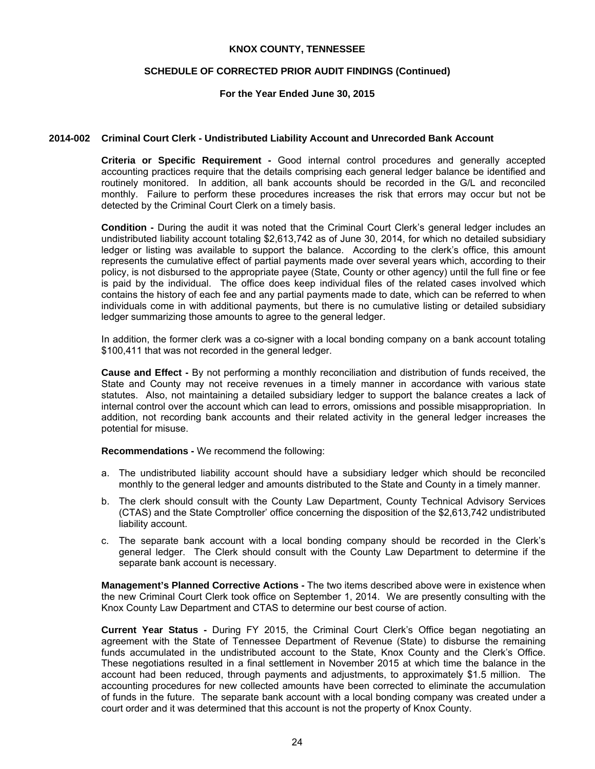#### **SCHEDULE OF CORRECTED PRIOR AUDIT FINDINGS (Continued)**

#### **For the Year Ended June 30, 2015**

#### **2014-002 Criminal Court Clerk - Undistributed Liability Account and Unrecorded Bank Account**

**Criteria or Specific Requirement -** Good internal control procedures and generally accepted accounting practices require that the details comprising each general ledger balance be identified and routinely monitored. In addition, all bank accounts should be recorded in the G/L and reconciled monthly. Failure to perform these procedures increases the risk that errors may occur but not be detected by the Criminal Court Clerk on a timely basis.

**Condition -** During the audit it was noted that the Criminal Court Clerk's general ledger includes an undistributed liability account totaling \$2,613,742 as of June 30, 2014, for which no detailed subsidiary ledger or listing was available to support the balance. According to the clerk's office, this amount represents the cumulative effect of partial payments made over several years which, according to their policy, is not disbursed to the appropriate payee (State, County or other agency) until the full fine or fee is paid by the individual. The office does keep individual files of the related cases involved which contains the history of each fee and any partial payments made to date, which can be referred to when individuals come in with additional payments, but there is no cumulative listing or detailed subsidiary ledger summarizing those amounts to agree to the general ledger.

In addition, the former clerk was a co-signer with a local bonding company on a bank account totaling \$100,411 that was not recorded in the general ledger.

**Cause and Effect -** By not performing a monthly reconciliation and distribution of funds received, the State and County may not receive revenues in a timely manner in accordance with various state statutes. Also, not maintaining a detailed subsidiary ledger to support the balance creates a lack of internal control over the account which can lead to errors, omissions and possible misappropriation. In addition, not recording bank accounts and their related activity in the general ledger increases the potential for misuse.

**Recommendations -** We recommend the following:

- a. The undistributed liability account should have a subsidiary ledger which should be reconciled monthly to the general ledger and amounts distributed to the State and County in a timely manner.
- b. The clerk should consult with the County Law Department, County Technical Advisory Services (CTAS) and the State Comptroller' office concerning the disposition of the \$2,613,742 undistributed liability account.
- c. The separate bank account with a local bonding company should be recorded in the Clerk's general ledger. The Clerk should consult with the County Law Department to determine if the separate bank account is necessary.

**Management's Planned Corrective Actions -** The two items described above were in existence when the new Criminal Court Clerk took office on September 1, 2014. We are presently consulting with the Knox County Law Department and CTAS to determine our best course of action.

**Current Year Status -** During FY 2015, the Criminal Court Clerk's Office began negotiating an agreement with the State of Tennessee Department of Revenue (State) to disburse the remaining funds accumulated in the undistributed account to the State, Knox County and the Clerk's Office. These negotiations resulted in a final settlement in November 2015 at which time the balance in the account had been reduced, through payments and adjustments, to approximately \$1.5 million. The accounting procedures for new collected amounts have been corrected to eliminate the accumulation of funds in the future. The separate bank account with a local bonding company was created under a court order and it was determined that this account is not the property of Knox County.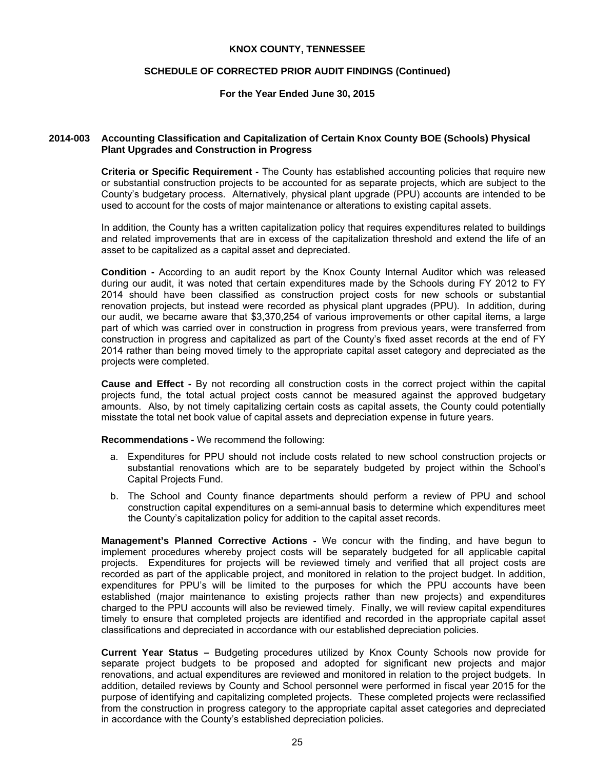#### **SCHEDULE OF CORRECTED PRIOR AUDIT FINDINGS (Continued)**

#### **For the Year Ended June 30, 2015**

### **2014-003 Accounting Classification and Capitalization of Certain Knox County BOE (Schools) Physical Plant Upgrades and Construction in Progress**

**Criteria or Specific Requirement -** The County has established accounting policies that require new or substantial construction projects to be accounted for as separate projects, which are subject to the County's budgetary process. Alternatively, physical plant upgrade (PPU) accounts are intended to be used to account for the costs of major maintenance or alterations to existing capital assets.

In addition, the County has a written capitalization policy that requires expenditures related to buildings and related improvements that are in excess of the capitalization threshold and extend the life of an asset to be capitalized as a capital asset and depreciated.

**Condition -** According to an audit report by the Knox County Internal Auditor which was released during our audit, it was noted that certain expenditures made by the Schools during FY 2012 to FY 2014 should have been classified as construction project costs for new schools or substantial renovation projects, but instead were recorded as physical plant upgrades (PPU). In addition, during our audit, we became aware that \$3,370,254 of various improvements or other capital items, a large part of which was carried over in construction in progress from previous years, were transferred from construction in progress and capitalized as part of the County's fixed asset records at the end of FY 2014 rather than being moved timely to the appropriate capital asset category and depreciated as the projects were completed.

**Cause and Effect -** By not recording all construction costs in the correct project within the capital projects fund, the total actual project costs cannot be measured against the approved budgetary amounts. Also, by not timely capitalizing certain costs as capital assets, the County could potentially misstate the total net book value of capital assets and depreciation expense in future years.

**Recommendations -** We recommend the following:

- a. Expenditures for PPU should not include costs related to new school construction projects or substantial renovations which are to be separately budgeted by project within the School's Capital Projects Fund.
- b. The School and County finance departments should perform a review of PPU and school construction capital expenditures on a semi-annual basis to determine which expenditures meet the County's capitalization policy for addition to the capital asset records.

**Management's Planned Corrective Actions -** We concur with the finding, and have begun to implement procedures whereby project costs will be separately budgeted for all applicable capital projects. Expenditures for projects will be reviewed timely and verified that all project costs are recorded as part of the applicable project, and monitored in relation to the project budget. In addition, expenditures for PPU's will be limited to the purposes for which the PPU accounts have been established (major maintenance to existing projects rather than new projects) and expenditures charged to the PPU accounts will also be reviewed timely. Finally, we will review capital expenditures timely to ensure that completed projects are identified and recorded in the appropriate capital asset classifications and depreciated in accordance with our established depreciation policies.

**Current Year Status –** Budgeting procedures utilized by Knox County Schools now provide for separate project budgets to be proposed and adopted for significant new projects and major renovations, and actual expenditures are reviewed and monitored in relation to the project budgets. In addition, detailed reviews by County and School personnel were performed in fiscal year 2015 for the purpose of identifying and capitalizing completed projects. These completed projects were reclassified from the construction in progress category to the appropriate capital asset categories and depreciated in accordance with the County's established depreciation policies.